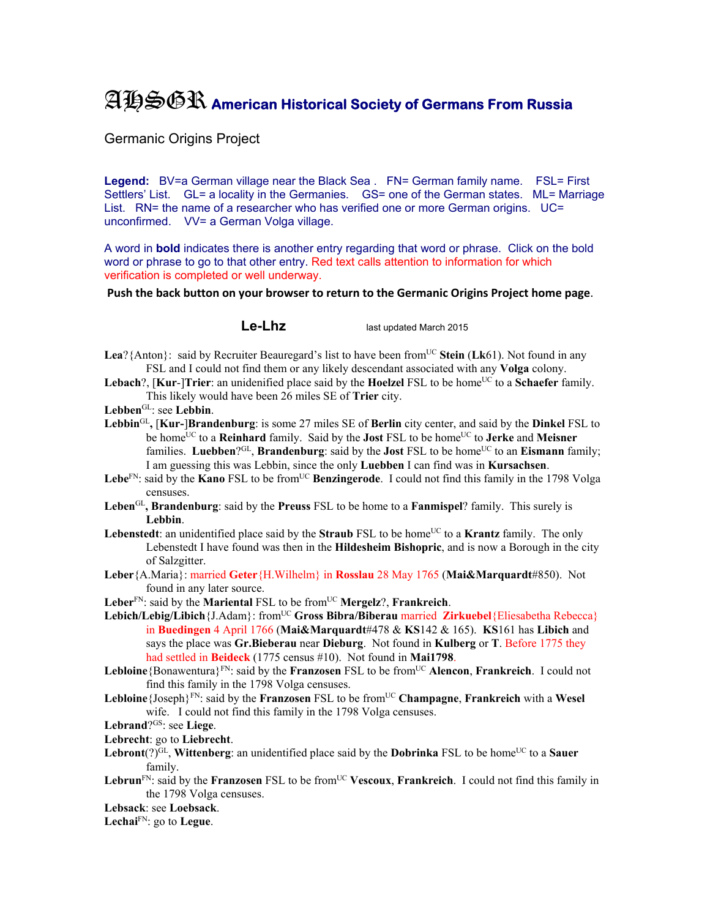## AHSGR **American Historical Society of Germans From Russia**

Germanic Origins Project

Legend: BV=a German village near the Black Sea . FN= German family name. FSL= First Settlers' List. GL= a locality in the Germanies. GS= one of the German states. ML= Marriage List. RN= the name of a researcher who has verified one or more German origins. UC= unconfirmed. VV= a German Volga village.

A word in **bold** indicates there is another entry regarding that word or phrase. Click on the bold word or phrase to go to that other entry. Red text calls attention to information for which verification is completed or well underway.

**Push the back button on your browser to return to the Germanic Origins Project home page**.

**Le-Lhz** last updated March 2015

- **Lea**?{Anton}: said by Recruiter Beauregard's list to have been from<sup>UC</sup> Stein (Lk61). Not found in any FSL and I could not find them or any likely descendant associated with any **Volga** colony.
- **Lebach**?, [**Kur-**]Trier: an unidenified place said by the **Hoelzel** FSL to be home<sup>UC</sup> to a **Schaefer** family. This likely would have been 26 miles SE of **Trier** city.
- **Lebben**GL: see **Lebbin**.
- **Lebbin**GL**,** [**Kur-**]**Brandenburg**: is some 27 miles SE of **Berlin** city center, and said by the **Dinkel** FSL to be homeUC to a **Reinhard** family. Said by the **Jost** FSL to be homeUC to **Jerke** and **Meisner** families. **Luebben**?GL, **Brandenburg**: said by the **Jost** FSL to be homeUC to an **Eismann** family; I am guessing this was Lebbin, since the only **Luebben** I can find was in **Kursachsen**.
- Lebe<sup>FN</sup>: said by the **Kano** FSL to be from<sup>UC</sup> Benzingerode. I could not find this family in the 1798 Volga censuses.
- **Leben**GL**, Brandenburg**: said by the **Preuss** FSL to be home to a **Fanmispel**? family. This surely is **Lebbin**.
- **Lebenstedt**: an unidentified place said by the **Straub** FSL to be home<sup>UC</sup> to a **Krantz** family. The only Lebenstedt I have found was then in the **Hildesheim Bishopric**, and is now a Borough in the city of Salzgitter.
- **Leber**{A.Maria}: married **Geter**{H.Wilhelm} in **Rosslau** 28 May 1765 (**Mai&Marquardt**#850). Not found in any later source.
- Leber<sup>FN</sup>: said by the **Mariental** FSL to be from<sup>UC</sup> **Mergelz**?, **Frankreich**.
- Lebich/Lebig/Libich {J.Adam}: from<sup>UC</sup> Gross Bibra/Biberau married Zirkuebel {Eliesabetha Rebecca} in **Buedingen** 4 April 1766 (**Mai&Marquardt**#478 & **KS**142 & 165). **KS**161 has **Libich** and says the place was **Gr.Bieberau** near **Dieburg**. Not found in **Kulberg** or **T**. Before 1775 they had settled in **Beideck** (1775 census #10). Not found in **Mai1798**.
- Lebloine {Bonawentura}<sup>FN</sup>: said by the **Franzosen** FSL to be from<sup>UC</sup> **Alencon**, **Frankreich**. I could not find this family in the 1798 Volga censuses.
- Lebloine {Joseph}<sup>FN</sup>: said by the **Franzosen** FSL to be from<sup>UC</sup> **Champagne**, **Frankreich** with a Wesel wife. I could not find this family in the 1798 Volga censuses.
- **Lebrand**?GS: see **Liege**.
- **Lebrecht**: go to **Liebrecht**.
- **Lebront**(?)<sup>GL</sup>, **Wittenberg**: an unidentified place said by the **Dobrinka** FSL to be home<sup>UC</sup> to a **Sauer** family.
- Lebrun<sup>FN</sup>: said by the **Franzosen** FSL to be from<sup>UC</sup> **Vescoux, Frankreich**. I could not find this family in the 1798 Volga censuses.

**Lebsack**: see **Loebsack**.

**Lechai**FN: go to **Legue**.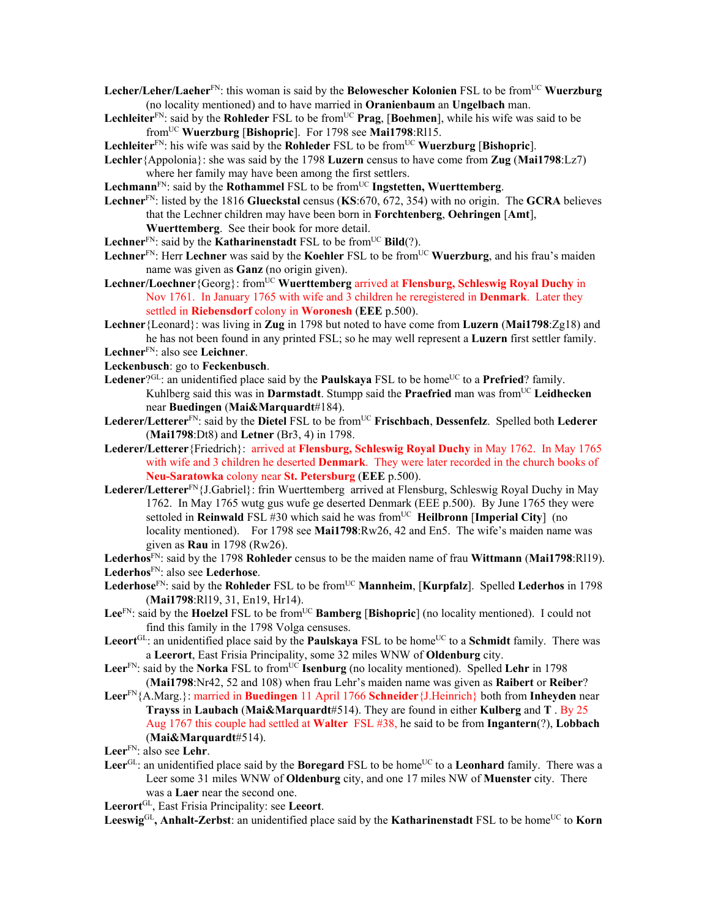- Lecher/Leher/Laeher<sup>FN</sup>: this woman is said by the **Belowescher Kolonien** FSL to be from<sup>UC</sup> Wuerzburg (no locality mentioned) and to have married in **Oranienbaum** an **Ungelbach** man.
- **Lechleiter**<sup>FN</sup>: said by the **Rohleder** FSL to be from<sup>UC</sup> **Prag**, [Boehmen], while his wife was said to be fromUC **Wuerzburg** [**Bishopric**]. For 1798 see **Mai1798**:Rl15.

**Lechleiter**<sup>FN</sup>: his wife was said by the **Rohleder** FSL to be from<sup>UC</sup> **Wuerzburg** [Bishopric].

- **Lechler**{Appolonia}: she was said by the 1798 **Luzern** census to have come from **Zug** (**Mai1798**:Lz7) where her family may have been among the first settlers.
- Lechmann<sup>FN</sup>: said by the **Rothammel** FSL to be from<sup>UC</sup> **Ingstetten, Wuerttemberg**.
- **Lechner**FN: listed by the 1816 **Glueckstal** census (**KS**:670, 672, 354) with no origin. The **GCRA** believes that the Lechner children may have been born in **Forchtenberg**, **Oehringen** [**Amt**], **Wuerttemberg**. See their book for more detail.
- **Lechner**<sup>FN</sup>: said by the **Katharinenstadt** FSL to be from<sup>UC</sup> **Bild**(?).
- Lechner<sup>FN</sup>: Herr Lechner was said by the Koehler FSL to be from<sup>UC</sup> Wuerzburg, and his frau's maiden name was given as **Ganz** (no origin given).
- Lechner/Loechner<sup>{Georg}:</sup> from<sup>UC</sup> Wuerttemberg arrived at **Flensburg, Schleswig Royal Duchy** in Nov 1761. In January 1765 with wife and 3 children he reregistered in **Denmark**. Later they settled in **Riebensdorf** colony in **Woronesh** (**EEE** p.500).
- **Lechner**{Leonard}: was living in **Zug** in 1798 but noted to have come from **Luzern** (**Mai1798**:Zg18) and he has not been found in any printed FSL; so he may well represent a **Luzern** first settler family. **Lechner**FN: also see **Leichner**.
- 
- **Leckenbusch**: go to **Feckenbusch**.
- Ledener?<sup>GL</sup>: an unidentified place said by the **Paulskaya** FSL to be home<sup>UC</sup> to a **Prefried**? family. Kuhlberg said this was in **Darmstadt**. Stumpp said the **Praefried** man was from<sup>UC</sup> Leidhecken near **Buedingen** (**Mai&Marquardt**#184).
- Lederer/Letterer<sup>FN</sup>: said by the Dietel FSL to be from<sup>UC</sup> Frischbach, Dessenfelz. Spelled both Lederer (**Mai1798**:Dt8) and **Letner** (Br3, 4) in 1798.
- **Lederer/Letterer**{Friedrich}: arrived at **Flensburg, Schleswig Royal Duchy** in May 1762. In May 1765 with wife and 3 children he deserted **Denmark**. They were later recorded in the church books of **Neu-Saratowka** colony near **St. Petersburg** (**EEE** p.500).
- **Lederer/Letterer**FN{J.Gabriel}: frin Wuerttemberg arrived at Flensburg, Schleswig Royal Duchy in May 1762. In May 1765 wutg gus wufe ge deserted Denmark (EEE p.500). By June 1765 they were settoled in **Reinwald** FSL #30 which said he was from<sup>UC</sup> **Heilbronn** [Imperial City] (no locality mentioned). For 1798 see **Mai1798**:Rw26, 42 and En5. The wife's maiden name was given as **Rau** in 1798 (Rw26).

**Lederhos**FN: said by the 1798 **Rohleder** census to be the maiden name of frau **Wittmann** (**Mai1798**:Rl19). **Lederhos**FN: also see **Lederhose**.

- Lederhose<sup>FN</sup>: said by the **Rohleder** FSL to be from<sup>UC</sup> **Mannheim**, [**Kurpfalz**]. Spelled Lederhos in 1798 (**Mai1798**:Rl19, 31, En19, Hr14).
- Lee<sup>FN</sup>: said by the **Hoelzel** FSL to be from<sup>UC</sup> **Bamberg** [Bishopric] (no locality mentioned). I could not find this family in the 1798 Volga censuses.
- Leeort<sup>GL</sup>: an unidentified place said by the **Paulskaya** FSL to be home<sup>UC</sup> to a **Schmidt** family. There was a **Leerort**, East Frisia Principality, some 32 miles WNW of **Oldenburg** city.
- **Leer**<sup>FN</sup>: said by the **Norka** FSL to from<sup>UC</sup> **Isenburg** (no locality mentioned). Spelled **Lehr** in 1798 (**Mai1798**:Nr42, 52 and 108) when frau Lehr's maiden name was given as **Raibert** or **Reiber**?
- **Leer**FN{A.Marg.}: married in **Buedingen** 11 April 1766 **Schneider**{J.Heinrich} both from **Inheyden** near **Trayss** in **Laubach** (**Mai&Marquardt**#514). They are found in either **Kulberg** and **T** . By 25 Aug 1767 this couple had settled at **Walter** FSL #38, he said to be from **Ingantern**(?), **Lobbach**  (**Mai&Marquardt**#514).

Leer<sup>GL</sup>: an unidentified place said by the **Boregard** FSL to be home<sup>UC</sup> to a Leonhard family. There was a Leer some 31 miles WNW of **Oldenburg** city, and one 17 miles NW of **Muenster** city. There was a **Laer** near the second one.

**Leerort**GL, East Frisia Principality: see **Leeort**.

Leeswig<sup>GL</sup>, Anhalt-Zerbst: an unidentified place said by the **Katharinenstadt** FSL to be home<sup>UC</sup> to **Korn** 

**Leer**FN: also see **Lehr**.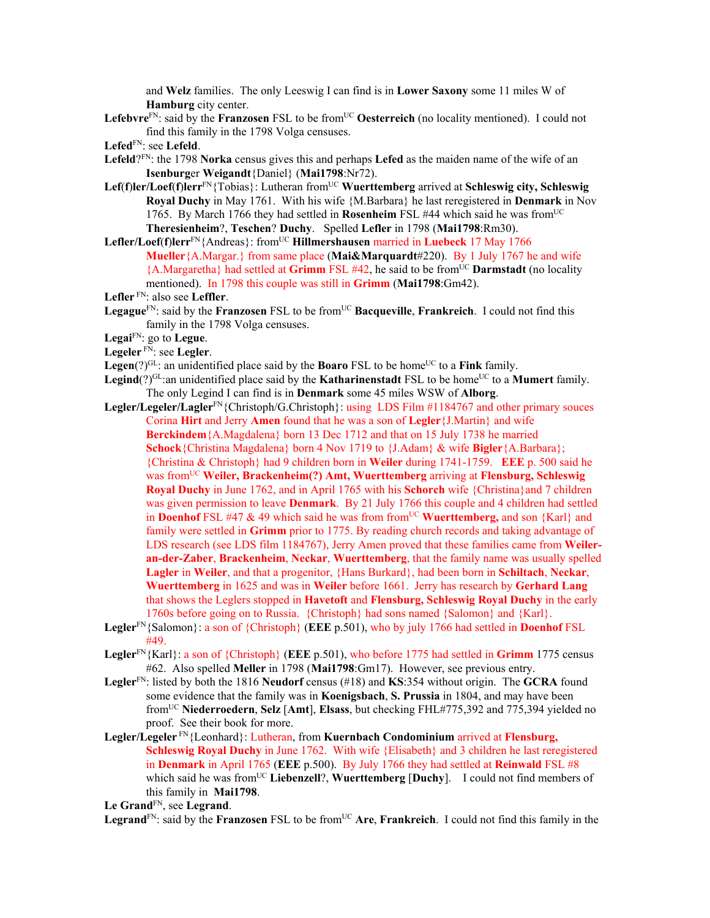and **Welz** families. The only Leeswig I can find is in **Lower Saxony** some 11 miles W of **Hamburg** city center.

Lefebvre<sup>FN</sup>: said by the **Franzosen** FSL to be from<sup>UC</sup> Oesterreich (no locality mentioned). I could not find this family in the 1798 Volga censuses.

- **Lefeld**?FN: the 1798 **Norka** census gives this and perhaps **Lefed** as the maiden name of the wife of an **Isenburg**er **Weigandt**{Daniel} (**Mai1798**:Nr72).
- Lef(f)ler/Loef(f)lerr<sup>FN</sup>{Tobias}: Lutheran from<sup>UC</sup> Wuerttemberg arrived at Schleswig city, Schleswig **Royal Duchy** in May 1761. With his wife {M.Barbara} he last reregistered in **Denmark** in Nov 1765. By March 1766 they had settled in **Rosenheim** FSL #44 which said he was fromUC **Theresienheim**?, **Teschen**? **Duchy**. Spelled **Lefler** in 1798 (**Mai1798**:Rm30).
- **Lefler/Loef(f)lerr**<sup>FN</sup>{Andreas}: from<sup>UC</sup> **Hillmershausen** married in **Luebeck** 17 May 1766 **Mueller**{A.Margar.} from same place (**Mai&Marquardt**#220). By 1 July 1767 he and wife {A.Margaretha} had settled at **Grimm** FSL #42, he said to be fromUC **Darmstadt** (no locality mentioned). In 1798 this couple was still in **Grimm** (**Mai1798**:Gm42).

- Legague<sup>FN</sup>: said by the **Franzosen** FSL to be from<sup>UC</sup> **Bacqueville**, **Frankreich**. I could not find this family in the 1798 Volga censuses.
- **Legai**FN: go to **Legue**.
- **Legeler** FN: see **Legler**.
- **Legen**(?)<sup>GL</sup>: an unidentified place said by the **Boaro** FSL to be home<sup>UC</sup> to a **Fink** family.
- **Legind** $(?)^{GL}$ :an unidentified place said by the **Katharinenstadt** FSL to be home<sup>UC</sup> to a **Mumert** family. The only Legind I can find is in **Denmark** some 45 miles WSW of **Alborg**.
- Legler/Legeler/Lagler<sup>FN</sup>{Christoph/G.Christoph}: using LDS Film #1184767 and other primary souces Corina **Hirt** and Jerry **Amen** found that he was a son of **Legler**{J.Martin} and wife **Berckindem**{A.Magdalena} born 13 Dec 1712 and that on 15 July 1738 he married **Schock**{Christina Magdalena} born 4 Nov 1719 to {J.Adam} & wife **Bigler**{A.Barbara}; {Christina & Christoph} had 9 children born in **Weiler** during 1741-1759. **EEE** p. 500 said he was from<sup>UC</sup> Weiler, Brackenheim(?) Amt, Wuerttemberg arriving at Flensburg, Schleswig **Royal Duchy** in June 1762, and in April 1765 with his **Schorch** wife {Christina}and 7 children was given permission to leave **Denmark**. By 21 July 1766 this couple and 4 children had settled in **Doenhof** FSL #47 & 49 which said he was from from<sup>UC</sup> **Wuerttemberg**, and son {Karl} and family were settled in **Grimm** prior to 1775. By reading church records and taking advantage of LDS research (see LDS film 1184767), Jerry Amen proved that these families came from **Weileran-der-Zaber**, **Brackenheim**, **Neckar**, **Wuerttemberg**, that the family name was usually spelled **Lagler** in **Weiler**, and that a progenitor, {Hans Burkard}, had been born in **Schiltach**, **Neckar**, **Wuerttemberg** in 1625 and was in **Weiler** before 1661. Jerry has research by **Gerhard Lang** that shows the Leglers stopped in **Havetoft** and **Flensburg, Schleswig Royal Duchy** in the early 1760s before going on to Russia. {Christoph} had sons named {Salomon} and {Karl}.
- **Legler**FN{Salomon}: a son of {Christoph} (**EEE** p.501), who by july 1766 had settled in **Doenhof** FSL #49.
- **Legler**FN{Karl}: a son of {Christoph} (**EEE** p.501), who before 1775 had settled in **Grimm** 1775 census #62. Also spelled **Meller** in 1798 (**Mai1798**:Gm17). However, see previous entry.
- **Legler**FN: listed by both the 1816 **Neudorf** census (#18) and **KS**:354 without origin. The **GCRA** found some evidence that the family was in **Koenigsbach**, **S. Prussia** in 1804, and may have been fromUC **Niederroedern**, **Selz** [**Amt**], **Elsass**, but checking FHL#775,392 and 775,394 yielded no proof. See their book for more.
- **Legler/Legeler** FN{Leonhard}: Lutheran, from **Kuernbach Condominium** arrived at **Flensburg, Schleswig Royal Duchy** in June 1762. With wife {Elisabeth} and 3 children he last reregistered in **Denmark** in April 1765 (**EEE** p.500). By July 1766 they had settled at **Reinwald** FSL #8 which said he was from<sup>UC</sup> Liebenzell?, Wuerttemberg [Duchy]. I could not find members of this family in **Mai1798**.

**Le Grand**FN, see **Legrand**.

Legrand<sup>FN</sup>: said by the **Franzosen** FSL to be from<sup>UC</sup> Are, **Frankreich**. I could not find this family in the

**Lefed**FN: see **Lefeld**.

**Lefler** FN: also see **Leffler**.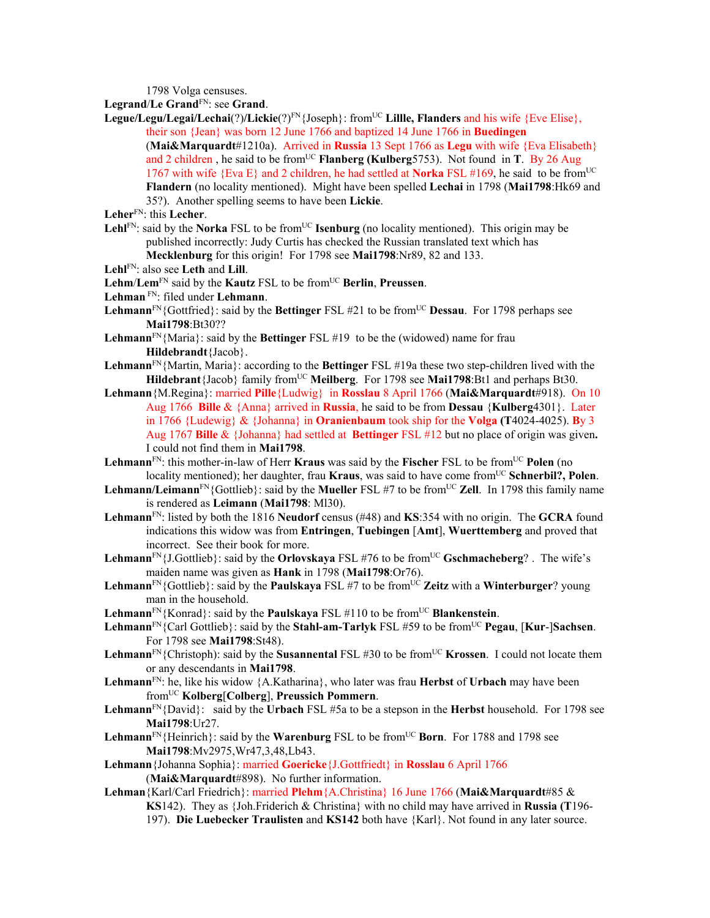1798 Volga censuses.

Legrand/Le Grand<sup>FN</sup>: see Grand.

Legue/Legu/Legai/Lechai(?)/Lickie(?)<sup>FN</sup>{Joseph}: from<sup>UC</sup> Lillle, Flanders and his wife {Eve Elise}, their son {Jean} was born 12 June 1766 and baptized 14 June 1766 in **Buedingen** (**Mai&Marquardt**#1210a). Arrived in **Russia** 13 Sept 1766 as **Legu** with wife {Eva Elisabeth} and 2 children, he said to be from<sup>UC</sup> **Flanberg (Kulberg**5753). Not found in **T**. By 26 Aug 1767 with wife {Eva E} and 2 children, he had settled at **Norka** FSL #169, he said to be fromUC **Flandern** (no locality mentioned). Might have been spelled **Lechai** in 1798 (**Mai1798**:Hk69 and 35?). Another spelling seems to have been **Lickie**.

**Leher**FN: this **Lecher**.

Lehl<sup>FN</sup>: said by the **Norka** FSL to be from<sup>UC</sup> **Isenburg** (no locality mentioned). This origin may be published incorrectly: Judy Curtis has checked the Russian translated text which has **Mecklenburg** for this origin! For 1798 see **Mai1798**:Nr89, 82 and 133.

**Lehl**FN: also see **Leth** and **Lill**.

**Lehm**/**Lem**FN said by the **Kautz** FSL to be fromUC **Berlin**, **Preussen**.

**Lehman** FN: filed under **Lehmann**.

**Lehmann**<sup>FN</sup>{Gottfried}: said by the **Bettinger** FSL #21 to be from<sup>UC</sup> **Dessau**. For 1798 perhaps see **Mai1798**:Bt30??

Lehmann<sup>FN</sup>{Maria}: said by the Bettinger FSL #19 to be the (widowed) name for frau **Hildebrandt**{Jacob}.

- **Lehmann**FN{Martin, Maria}: according to the **Bettinger** FSL #19a these two step-children lived with the Hildebrant {Jacob} family from<sup>UC</sup> Meilberg. For 1798 see Mai1798:Bt1 and perhaps Bt30.
- **Lehmann**{M.Regina}: married **Pille**{Ludwig} in **Rosslau** 8 April 1766 (**Mai&Marquardt**#918). On 10 Aug 1766 **Bille** & {Anna} arrived in **Russia**, he said to be from **Dessau** {**Kulberg**4301}. Later in 1766 {Ludewig} & {Johanna} in **Oranienbaum** took ship for the **Volga (T**4024-4025). **B**y 3 Aug 1767 **Bille** & {Johanna} had settled at **Bettinger** FSL #12 but no place of origin was given**.**  I could not find them in **Mai1798**.
- Lehmann<sup>FN</sup>: this mother-in-law of Herr **Kraus** was said by the **Fischer** FSL to be from<sup>UC</sup> **Polen** (no locality mentioned); her daughter, frau **Kraus**, was said to have come from<sup>UC</sup> Schnerbil?, Polen.
- Lehmann/Leimann<sup>FN</sup>{Gottlieb}: said by the Mueller FSL #7 to be from<sup>UC</sup> Zell. In 1798 this family name is rendered as **Leimann** (**Mai1798**: Ml30).
- **Lehmann**FN: listed by both the 1816 **Neudorf** census (#48) and **KS**:354 with no origin. The **GCRA** found indications this widow was from **Entringen**, **Tuebingen** [**Amt**], **Wuerttemberg** and proved that incorrect. See their book for more.
- **Lehmann**<sup>FN</sup>{J.Gottlieb}: said by the **Orlovskaya** FSL #76 to be from<sup>UC</sup> **Gschmacheberg**? . The wife's maiden name was given as **Hank** in 1798 (**Mai1798**:Or76).
- Lehmann<sup>FN</sup>{Gottlieb}: said by the **Paulskaya** FSL #7 to be from<sup>UC</sup> Zeitz with a Winterburger? young man in the household.

**Lehmann**<sup>FN</sup>{Konrad}: said by the **Paulskaya** FSL  $\#110$  to be from<sup>UC</sup> **Blankenstein**.

**Lehmann**FN{Carl Gottlieb}: said by the **Stahl-am-Tarlyk** FSL #59 to be fromUC **Pegau**, [**Kur**-]**Sachsen**. For 1798 see **Mai1798**:St48).

- **Lehmann**<sup>FN</sup>{Christoph): said by the **Susannental** FSL #30 to be from<sup>UC</sup> **Krossen**. I could not locate them or any descendants in **Mai1798**.
- **Lehmann**FN: he, like his widow {A.Katharina}, who later was frau **Herbst** of **Urbach** may have been fromUC **Kolberg**[**Colberg**], **Preussich Pommern**.
- **Lehmann**FN{David}: said by the **Urbach** FSL #5a to be a stepson in the **Herbst** household. For 1798 see **Mai1798**:Ur27.
- **Lehmann**<sup>FN</sup>{Heinrich}: said by the **Warenburg** FSL to be from<sup>UC</sup> **Born**. For 1788 and 1798 see **Mai1798**:Mv2975,Wr47,3,48,Lb43.

**Lehmann**{Johanna Sophia}: married **Goericke**{J.Gottfriedt} in **Rosslau** 6 April 1766 (**Mai&Marquardt**#898). No further information.

**Lehman**{Karl/Carl Friedrich}: married **Plehm**{A.Christina} 16 June 1766 (**Mai&Marquardt**#85 & **KS**142). They as {Joh.Friderich & Christina} with no child may have arrived in **Russia (T**196- 197). **Die Luebecker Traulisten** and **KS142** both have {Karl}. Not found in any later source.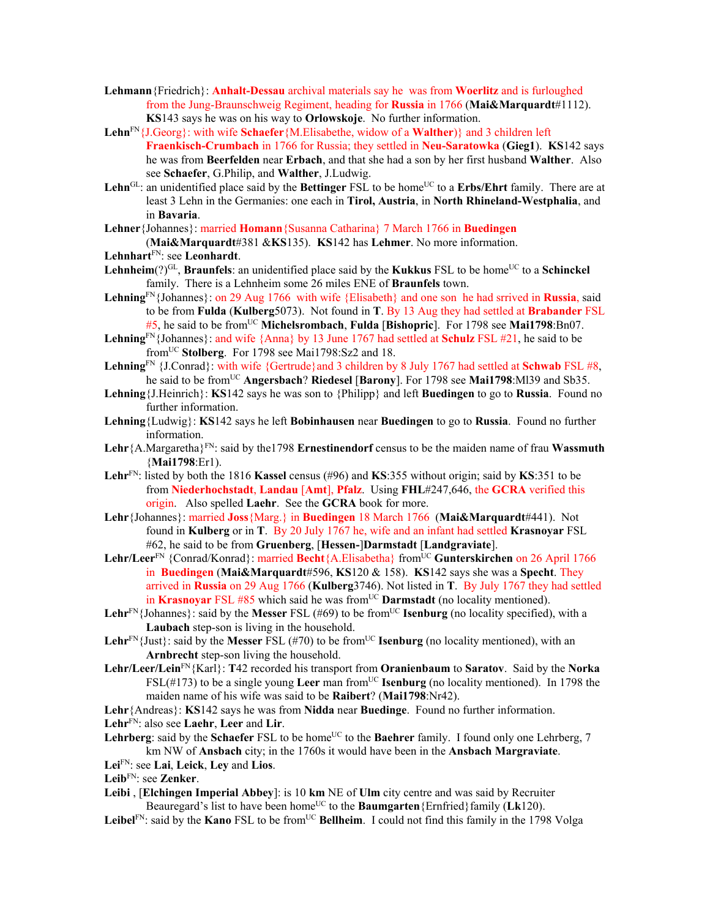- **Lehmann**{Friedrich}: **Anhalt-Dessau** archival materials say he was from **Woerlitz** and is furloughed from the Jung-Braunschweig Regiment, heading for **Russia** in 1766 (**Mai&Marquardt**#1112). **KS**143 says he was on his way to **Orlowskoje**. No further information.
- **Lehn**FN{J.Georg}: with wife **Schaefer**{M.Elisabethe, widow of a **Walther**)} and 3 children left **Fraenkisch-Crumbach** in 1766 for Russia; they settled in **Neu-Saratowka** (**Gieg1**). **KS**142 says he was from **Beerfelden** near **Erbach**, and that she had a son by her first husband **Walther**. Also see **Schaefer**, G.Philip, and **Walther**, J.Ludwig.
- Lehn<sup>GL</sup>: an unidentified place said by the **Bettinger** FSL to be home<sup>UC</sup> to a **Erbs/Ehrt** family. There are at least 3 Lehn in the Germanies: one each in **Tirol, Austria**, in **North Rhineland-Westphalia**, and in **Bavaria**.

**Lehner**{Johannes}: married **Homann**{Susanna Catharina} 7 March 1766 in **Buedingen** 

(**Mai&Marquardt**#381 &**KS**135). **KS**142 has **Lehmer**. No more information. **Lehnhart**FN: see **Leonhardt**.

- **Lehnheim** $(?)^{GL}$ , **Braunfels**: an unidentified place said by the **Kukkus** FSL to be home<sup>UC</sup> to a **Schinckel** family. There is a Lehnheim some 26 miles ENE of **Braunfels** town.
- **Lehning**FN{Johannes}: on 29 Aug 1766 with wife {Elisabeth} and one son he had srrived in **Russia**, said to be from **Fulda** (**Kulberg**5073). Not found in **T**. By 13 Aug they had settled at **Brabander** FSL #5, he said to be fromUC **Michelsrombach**, **Fulda** [**Bishopric**]. For 1798 see **Mai1798**:Bn07.

**Lehning**FN{Johannes}: and wife {Anna} by 13 June 1767 had settled at **Schulz** FSL #21, he said to be fromUC **Stolberg**. For 1798 see Mai1798:Sz2 and 18.

- **Lehning**FN {J.Conrad}: with wife {Gertrude}and 3 children by 8 July 1767 had settled at **Schwab** FSL #8, he said to be fromUC **Angersbach**? **Riedesel** [**Barony**]. For 1798 see **Mai1798**:Ml39 and Sb35.
- **Lehning**{J.Heinrich}: **KS**142 says he was son to {Philipp} and left **Buedingen** to go to **Russia**. Found no further information.
- **Lehning**{Ludwig}: **KS**142 says he left **Bobinhausen** near **Buedingen** to go to **Russia**. Found no further information.
- **Lehr**{A.Margaretha}FN: said by the1798 **Ernestinendorf** census to be the maiden name of frau **Wassmuth** {**Mai1798**:Er1).
- **Lehr**FN: listed by both the 1816 **Kassel** census (#96) and **KS**:355 without origin; said by **KS**:351 to be from **Niederhochstadt**, **Landau** [**Amt**], **Pfalz**. Using **FHL**#247,646, the **GCRA** verified this origin. Also spelled **Laehr**. See the **GCRA** book for more.
- **Lehr**{Johannes}: married **Joss**{Marg.} in **Buedingen** 18 March 1766 (**Mai&Marquardt**#441). Not found in **Kulberg** or in **T**. By 20 July 1767 he, wife and an infant had settled **Krasnoyar** FSL #62, he said to be from **Gruenberg**, [**Hessen-**]**Darmstadt** [**Landgraviate**].
- **Lehr/Leer**FN {Conrad/Konrad}: married **Becht**{A.Elisabetha} fromUC **Gunterskirchen** on 26 April 1766 in **Buedingen** (**Mai&Marquardt**#596, **KS**120 & 158). **KS**142 says she was a **Specht**. They arrived in **Russia** on 29 Aug 1766 (**Kulberg**3746). Not listed in **T**. By July 1767 they had settled in **Krasnoyar** FSL #85 which said he was from<sup>UC</sup> **Darmstadt** (no locality mentioned).
- **Lehr**<sup>FN</sup>{Johannes}: said by the **Messer** FSL (#69) to be from<sup>UC</sup> **Isenburg** (no locality specified), with a **Laubach** step-son is living in the household.
- **Lehr**<sup>FN</sup>{Just}: said by the **Messer** FSL (#70) to be from<sup>UC</sup> **Isenburg** (no locality mentioned), with an **Arnbrecht** step-son living the household.
- **Lehr/Leer/Lein**FN{Karl}: **T**42 recorded his transport from **Oranienbaum** to **Saratov**. Said by the **Norka** FSL(#173) to be a single young **Leer** man from<sup>UC</sup> **Isenburg** (no locality mentioned). In 1798 the maiden name of his wife was said to be **Raibert**? (**Mai1798**:Nr42).

**Lehr**{Andreas}: **KS**142 says he was from **Nidda** near **Buedinge**. Found no further information.

**Lehr**FN: also see **Laehr**, **Leer** and **Lir**.

- Lehrberg: said by the Schaefer FSL to be home<sup>UC</sup> to the **Baehrer** family. I found only one Lehrberg, 7 km NW of **Ansbach** city; in the 1760s it would have been in the **Ansbach Margraviate**.
- **Lei**FN: see **Lai**, **Leick**, **Ley** and **Lios**.

**Leib**FN: see **Zenker**.

- **Leibi** , [**Elchingen Imperial Abbey**]: is 10 **km** NE of **Ulm** city centre and was said by Recruiter Beauregard's list to have been home<sup>UC</sup> to the **Baumgarten**{Ernfried}family (Lk120).
- Leibel<sup>FN</sup>: said by the Kano FSL to be from<sup>UC</sup> Bellheim. I could not find this family in the 1798 Volga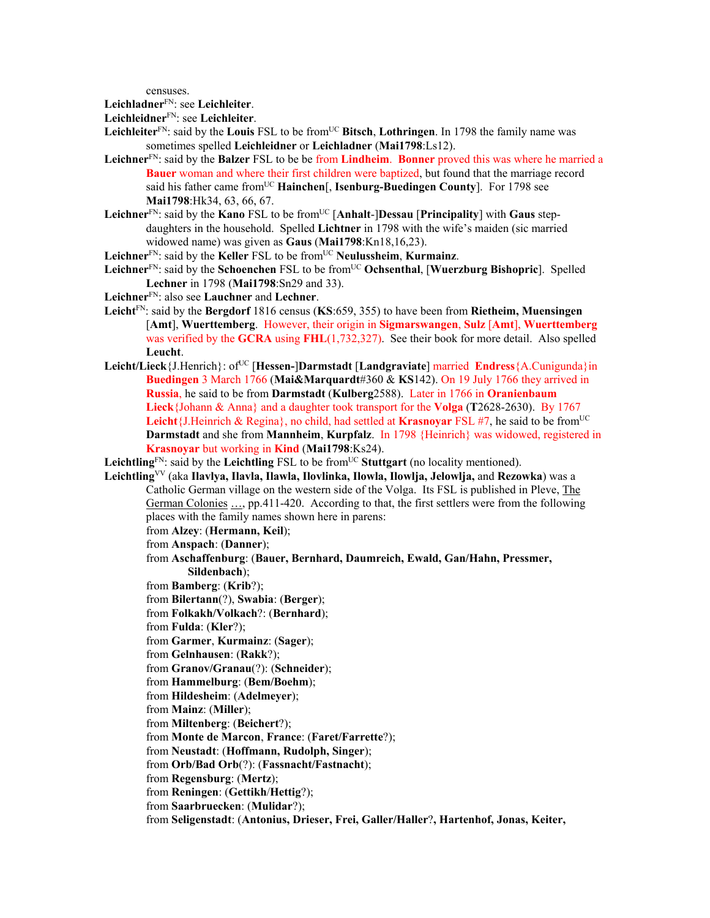censuses.

**Leichladner**FN: see **Leichleiter**.

**Leichleidner**FN: see **Leichleiter**.

- **Leichleiter**<sup>FN</sup>: said by the **Louis** FSL to be from<sup>UC</sup> Bitsch, **Lothringen**. In 1798 the family name was sometimes spelled **Leichleidner** or **Leichladner** (**Mai1798**:Ls12).
- **Leichner**FN: said by the **Balzer** FSL to be be from **Lindheim**. **Bonner** proved this was where he married a **Bauer** woman and where their first children were baptized, but found that the marriage record said his father came from<sup>UC</sup> **Hainchen**[, **Isenburg-Buedingen County**]. For 1798 see **Mai1798**:Hk34, 63, 66, 67.
- **Leichner**FN: said by the **Kano** FSL to be fromUC [**Anhalt**-]**Dessau** [**Principality**] with **Gaus** stepdaughters in the household. Spelled **Lichtner** in 1798 with the wife's maiden (sic married widowed name) was given as **Gaus** (**Mai1798**:Kn18,16,23).

Leichner<sup>FN</sup>: said by the **Keller** FSL to be from<sup>UC</sup> **Neulussheim**, **Kurmainz**.

- Leichner<sup>FN</sup>: said by the **Schoenchen** FSL to be from<sup>UC</sup> Ochsenthal, [Wuerzburg Bishopric]. Spelled **Lechner** in 1798 (**Mai1798**:Sn29 and 33).
- **Leichner**FN: also see **Lauchner** and **Lechner**.
- **Leicht**FN: said by the **Bergdorf** 1816 census (**KS**:659, 355) to have been from **Rietheim, Muensingen**  [**Amt**], **Wuerttemberg**. However, their origin in **Sigmarswangen**, **Sulz** [**Amt**], **Wuerttemberg** was verified by the **GCRA** using **FHL**(1,732,327). See their book for more detail.Also spelled **Leucht**.
- **Leicht/Lieck**{J.Henrich}: ofUC [**Hessen-**]**Darmstadt** [**Landgraviate**] married **Endress**{A.Cunigunda}in **Buedingen** 3 March 1766 (**Mai&Marquardt**#360 & **KS**142). On 19 July 1766 they arrived in **Russia**, he said to be from **Darmstadt** (**Kulberg**2588). Later in 1766 in **Oranienbaum Lieck**{Johann & Anna} and a daughter took transport for the **Volga** (**T**2628-2630). By 1767 **Leicht**{J.Heinrich & Regina}, no child, had settled at **Krasnoyar** FSL #7, he said to be from<sup>UC</sup> **Darmstadt** and she from **Mannheim**, **Kurpfalz**. In 1798 {Heinrich} was widowed, registered in **Krasnoyar** but working in **Kind** (**Mai1798**:Ks24).

Leichtling<sup>FN</sup>: said by the Leichtling FSL to be from<sup>UC</sup> Stuttgart (no locality mentioned).

**Leichtling**VV (aka **Ilavlya, Ilavla, Ilawla, Ilovlinka, Ilowla, Ilowlja, Jelowlja,** and **Rezowka**) was a Catholic German village on the western side of the Volga. Its FSL is published in Pleve, The German Colonies ..., pp.411-420. According to that, the first settlers were from the following places with the family names shown here in parens:

from **Alzey**: (**Hermann, Keil**);

from **Anspach**: (**Danner**);

- from **Aschaffenburg**: (**Bauer, Bernhard, Daumreich, Ewald, Gan/Hahn, Pressmer, Sildenbach**);
- from **Bamberg**: (**Krib**?);
- from **Bilertann**(?), **Swabia**: (**Berger**);
- from **Folkakh/Volkach**?: (**Bernhard**);
- from **Fulda**: (**Kler**?);
- from **Garmer**, **Kurmainz**: (**Sager**);
- from **Gelnhausen**: (**Rakk**?);
- from **Granov/Granau**(?): (**Schneider**);
- from **Hammelburg**: (**Bem/Boehm**);
- from **Hildesheim**: (**Adelmeyer**);
- from **Mainz**: (**Miller**);
- from **Miltenberg**: (**Beichert**?);
- from **Monte de Marcon**, **France**: (**Faret/Farrette**?);
- from **Neustadt**: (**Hoffmann, Rudolph, Singer**);
- from **Orb/Bad Orb**(?): (**Fassnacht/Fastnacht**);
- from **Regensburg**: (**Mertz**);
- from **Reningen**: (**Gettikh**/**Hettig**?);
- from **Saarbruecken**: (**Mulidar**?);
- from **Seligenstadt**: (**Antonius, Drieser, Frei, Galler/Haller**?**, Hartenhof, Jonas, Keiter,**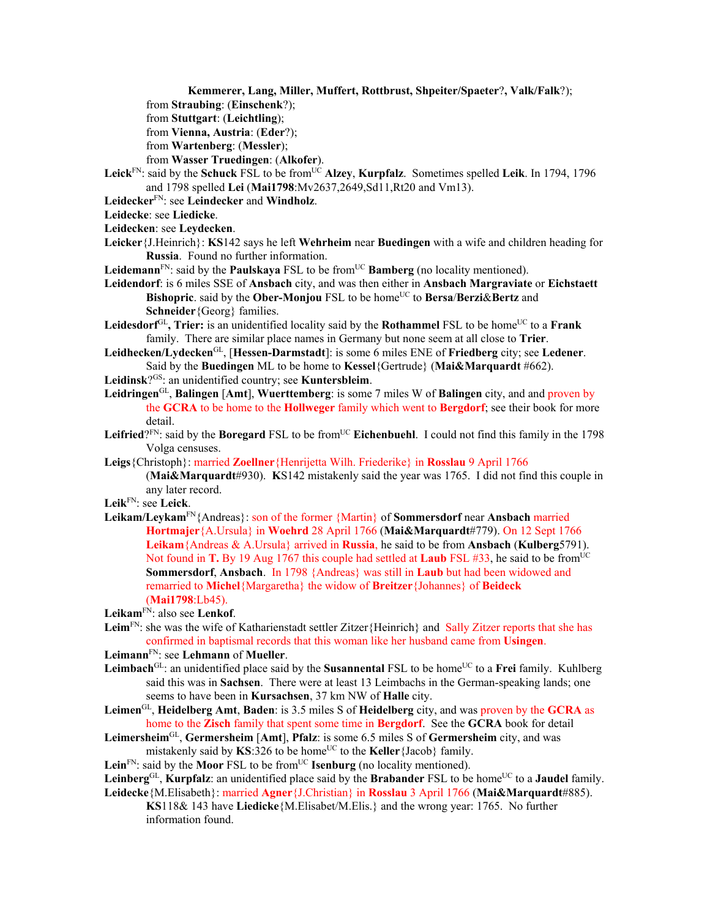**Kemmerer, Lang, Miller, Muffert, Rottbrust, Shpeiter/Spaeter**?**, Valk/Falk**?);

from **Straubing**: (**Einschenk**?);

from **Stuttgart**: (**Leichtling**);

from **Vienna, Austria**: (**Eder**?);

from **Wartenberg**: (**Messler**);

from **Wasser Truedingen**: (**Alkofer**).

**Leick**<sup>FN</sup>: said by the **Schuck** FSL to be from<sup>UC</sup> Alzey, **Kurpfalz**. Sometimes spelled **Leik**. In 1794, 1796 and 1798 spelled **Lei** (**Mai1798**:Mv2637,2649,Sd11,Rt20 and Vm13).

**Leidecker**FN: see **Leindecker** and **Windholz**.

**Leidecke**: see **Liedicke**.

**Leidecken**: see **Leydecken**.

- **Leicker**{J.Heinrich}: **KS**142 says he left **Wehrheim** near **Buedingen** with a wife and children heading for **Russia**. Found no further information.
- Leidemann<sup>FN</sup>: said by the **Paulskaya** FSL to be from<sup>UC</sup> **Bamberg** (no locality mentioned).

**Leidendorf**: is 6 miles SSE of **Ansbach** city, and was then either in **Ansbach Margraviate** or **Eichstaett Bishopric**. said by the **Ober-Monjou** FSL to be home<sup>UC</sup> to **Bersa/Berzi&Bertz** and **Schneider**{Georg} families.

- Leidesdorf<sup>GL</sup>, Trier: is an unidentified locality said by the Rothammel FSL to be home<sup>UC</sup> to a Frank family. There are similar place names in Germany but none seem at all close to **Trier**.
- **Leidhecken/Lydecken**GL, [**Hessen-Darmstadt**]: is some 6 miles ENE of **Friedberg** city; see **Ledener**. Said by the **Buedingen** ML to be home to **Kessel**{Gertrude} (**Mai&Marquardt** #662).
- **Leidinsk**?GS: an unidentified country; see **Kuntersbleim**.
- **Leidringen**GL, **Balingen** [**Amt**], **Wuerttemberg**: is some 7 miles W of **Balingen** city, and and proven by the **GCRA** to be home to the **Hollweger** family which went to **Bergdorf**; see their book for more detail.
- Leifried? $F_N$ : said by the **Boregard** FSL to be from $U^C$  **Eichenbuehl**. I could not find this family in the 1798 Volga censuses.
- **Leigs**{Christoph}: married **Zoellner**{Henrijetta Wilh. Friederike} in **Rosslau** 9 April 1766

(**Mai&Marquardt**#930). **K**S142 mistakenly said the year was 1765. I did not find this couple in any later record.

- **Leik**FN: see **Leick**.
- **Leikam/Leykam**FN{Andreas}: son of the former {Martin} of **Sommersdorf** near **Ansbach** married **Hortmajer**{A.Ursula} in **Woehrd** 28 April 1766 (**Mai&Marquardt**#779). On 12 Sept 1766 **Leikam**{Andreas & A.Ursula} arrived in **Russia**, he said to be from **Ansbach** (**Kulberg**5791). Not found in **T.** By 19 Aug 1767 this couple had settled at **Laub** FSL #33, he said to be from<sup>UC</sup> **Sommersdorf**, **Ansbach**. In 1798 {Andreas} was still in **Laub** but had been widowed and remarried to **Michel**{Margaretha} the widow of **Breitzer**{Johannes} of **Beideck**  (**Mai1798**:Lb45).

**Leikam**FN: also see **Lenkof**.

- Leim<sup>FN</sup>: she was the wife of Katharienstadt settler Zitzer{Heinrich} and Sally Zitzer reports that she has confirmed in baptismal records that this woman like her husband came from **Usingen**.
- **Leimann**FN: see **Lehmann** of **Mueller**.
- **Leimbach**<sup>GL</sup>: an unidentified place said by the **Susannental** FSL to be home<sup>UC</sup> to a **Frei** family. Kuhlberg said this was in **Sachsen**. There were at least 13 Leimbachs in the German-speaking lands; one seems to have been in **Kursachsen**, 37 km NW of **Halle** city.
- **Leimen**GL, **Heidelberg Amt**, **Baden**: is 3.5 miles S of **Heidelberg** city, and was proven by the **GCRA** as home to the **Zisch** family that spent some time in **Bergdorf**. See the **GCRA** book for detail
- **Leimersheim**GL, **Germersheim** [**Amt**], **Pfalz**: is some 6.5 miles S of **Germersheim** city, and was mistakenly said by  $KS:326$  to be home<sup>UC</sup> to the **Keller**{Jacob} family.
- Lein<sup>FN</sup>: said by the **Moor** FSL to be from<sup>UC</sup> **Isenburg** (no locality mentioned).
- Leinberg<sup>GL</sup>, **Kurpfalz**: an unidentified place said by the **Brabander** FSL to be home<sup>UC</sup> to a **Jaudel** family. **Leidecke**{M.Elisabeth}: married **Agner**{J.Christian} in **Rosslau** 3 April 1766 (**Mai&Marquardt**#885).
	- **KS**118& 143 have **Liedicke**{M.Elisabet/M.Elis.} and the wrong year: 1765. No further information found.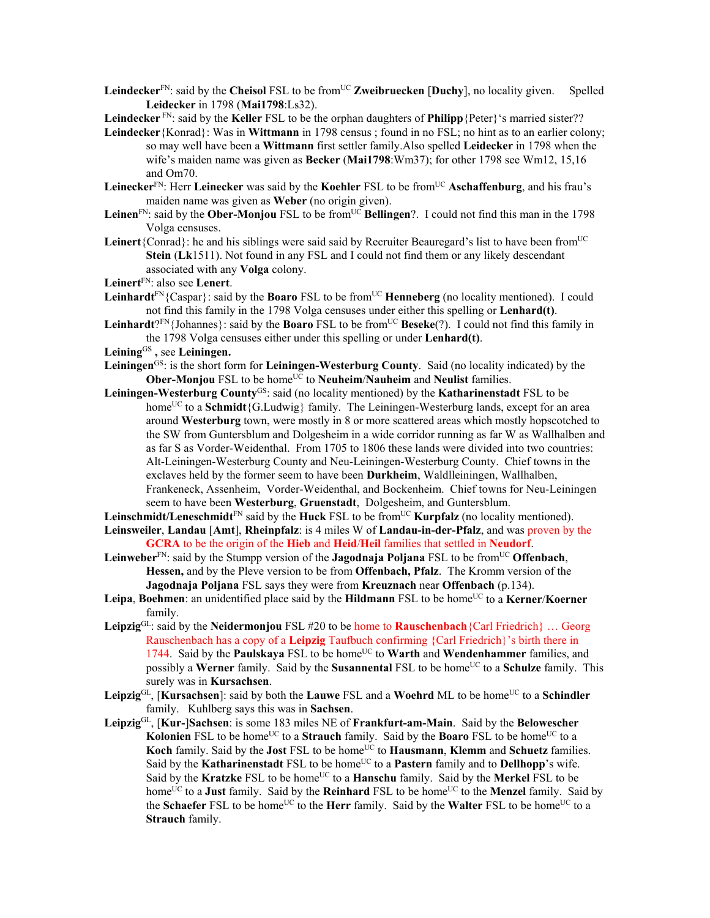- **Leindecker**<sup>FN</sup>: said by the **Cheisol** FSL to be from<sup>UC</sup> **Zweibruecken** [**Duchy**], no locality given. Spelled **Leidecker** in 1798 (**Mai1798**:Ls32).
- **Leindecker** FN: said by the **Keller** FSL to be the orphan daughters of **Philipp**{Peter}'s married sister??
- **Leindecker**{Konrad}: Was in **Wittmann** in 1798 census ; found in no FSL; no hint as to an earlier colony; so may well have been a **Wittmann** first settler family.Also spelled **Leidecker** in 1798 when the wife's maiden name was given as **Becker** (**Mai1798**:Wm37); for other 1798 see Wm12, 15,16 and Om70.
- **Leinecker**<sup>FN</sup>: Herr **Leinecker** was said by the **Koehler** FSL to be from<sup>UC</sup> **Aschaffenburg**, and his frau's maiden name was given as **Weber** (no origin given).
- Leinen<sup>FN</sup>: said by the **Ober-Monjou** FSL to be from<sup>UC</sup> **Bellingen**?. I could not find this man in the 1798 Volga censuses.
- Leinert<sup>{Conrad}:</sup> he and his siblings were said said by Recruiter Beauregard's list to have been from<sup>UC</sup> **Stein** (**Lk**1511). Not found in any FSL and I could not find them or any likely descendant associated with any **Volga** colony.
- **Leinert**FN: also see **Lenert**.
- Leinhardt<sup>FN</sup>{Caspar}: said by the **Boaro** FSL to be from<sup>UC</sup> **Henneberg** (no locality mentioned). I could not find this family in the 1798 Volga censuses under either this spelling or **Lenhard(t)**.
- Leinhardt<sup>?FN</sup>{Johannes}: said by the **Boaro** FSL to be from<sup>UC</sup> **Beseke**(?). I could not find this family in the 1798 Volga censuses either under this spelling or under **Lenhard(t)**.
- **Leining**GS **,** see **Leiningen.**
- **Leiningen**GS: is the short form for **Leiningen-Westerburg County**. Said (no locality indicated) by the **Ober-Monjou** FSL to be home<sup>UC</sup> to **Neuheim/Nauheim** and **Neulist** families.
- **Leiningen-Westerburg County**GS: said (no locality mentioned) by the **Katharinenstadt** FSL to be home<sup>UC</sup> to a **Schmidt**{G.Ludwig} family. The Leiningen-Westerburg lands, except for an area around **Westerburg** town, were mostly in 8 or more scattered areas which mostly hopscotched to the SW from Guntersblum and Dolgesheim in a wide corridor running as far W as Wallhalben and as far S as Vorder-Weidenthal. From 1705 to 1806 these lands were divided into two countries: Alt-Leiningen-Westerburg County and Neu-Leiningen-Westerburg County. Chief towns in the exclaves held by the former seem to have been **Durkheim**, Waldlleiningen, Wallhalben, Frankeneck, Assenheim, Vorder-Weidenthal, and Bockenheim. Chief towns for Neu-Leiningen seem to have been **Westerburg**, **Gruenstadt**, Dolgesheim, and Guntersblum.
- Leinschmidt/Leneschmidt<sup>FN</sup> said by the Huck FSL to be from<sup>UC</sup> **Kurpfalz** (no locality mentioned).
- **Leinsweiler**, **Landau** [**Amt**], **Rheinpfalz**: is 4 miles W of **Landau-in-der-Pfalz**, and was proven by the **GCRA** to be the origin of the **Hieb** and **Heid**/**Heil** families that settled in **Neudorf**.
- **Leinweber**FN: said by the Stumpp version of the **Jagodnaja Poljana** FSL to be fromUC **Offenbach**, **Hessen,** and by the Pleve version to be from **Offenbach, Pfalz**. The Kromm version of the **Jagodnaja Poljana** FSL says they were from **Kreuznach** near **Offenbach** (p.134).
- **Leipa**, **Boehmen**: an unidentified place said by the **Hildmann** FSL to be home<sup>UC</sup> to a **Kerner/Koerner** family.
- **Leipzig**GL: said by the **Neidermonjou** FSL #20 to be home to **Rauschenbach**{Carl Friedrich} … Georg Rauschenbach has a copy of a **Leipzig** Taufbuch confirming {Carl Friedrich}'s birth there in 1744. Said by the **Paulskaya** FSL to be home<sup>UC</sup> to **Warth** and **Wendenhammer** families, and possibly a **Werner** family. Said by the **Susannental** FSL to be home<sup>UC</sup> to a **Schulze** family. This surely was in **Kursachsen**.
- Leipzig<sup>GL</sup>, [Kursachsen]: said by both the Lauwe FSL and a Woehrd ML to be home<sup>UC</sup> to a Schindler family. Kuhlberg says this was in **Sachsen**.
- **Leipzig**GL, [**Kur-**]**Sachsen**: is some 183 miles NE of **Frankfurt-am-Main**. Said by the **Belowescher Kolonien** FSL to be home<sup>UC</sup> to a **Strauch** family. Said by the **Boaro** FSL to be home<sup>UC</sup> to a Koch family. Said by the **Jost** FSL to be home<sup>UC</sup> to **Hausmann**, **Klemm** and **Schuetz** families. Said by the **Katharinenstadt** FSL to be home<sup>UC</sup> to a **Pastern** family and to **Dellhopp**'s wife. Said by the Kratzke FSL to be home<sup>UC</sup> to a Hanschu family. Said by the Merkel FSL to be home<sup>UC</sup> to a **Just** family. Said by the **Reinhard** FSL to be home<sup>UC</sup> to the **Menzel** family. Said by the **Schaefer** FSL to be home<sup>UC</sup> to the **Herr** family. Said by the **Walter** FSL to be home<sup>UC</sup> to a **Strauch** family.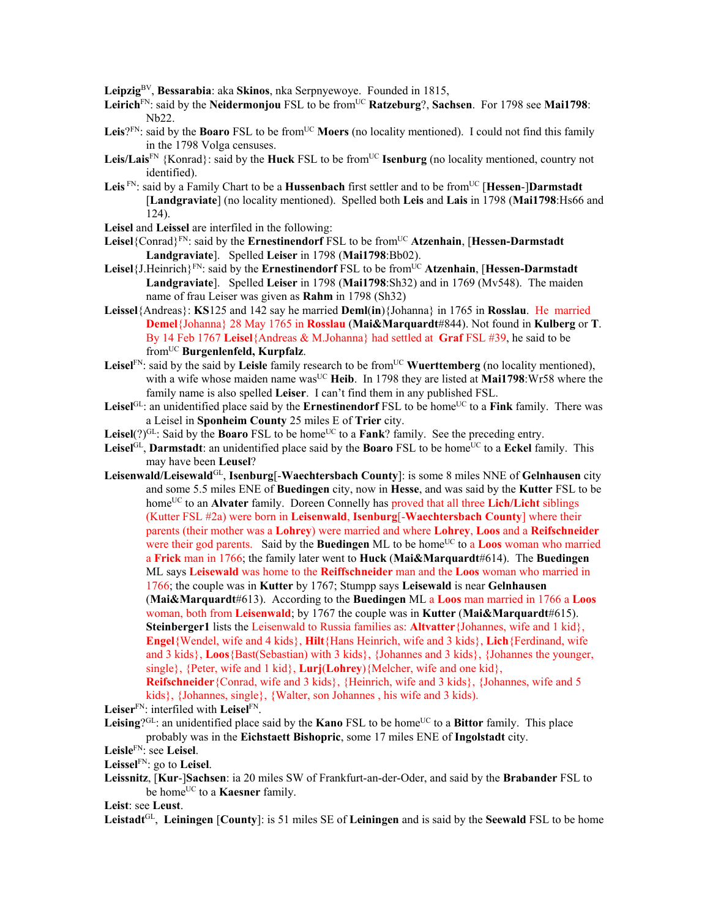**Leipzig**BV, **Bessarabia**: aka **Skinos**, nka Serpnyewoye. Founded in 1815,

- Leirich<sup>FN</sup>: said by the Neidermonjou FSL to be from<sup>UC</sup> Ratzeburg?, Sachsen. For 1798 see Mai1798: Nb22.
- **Leis**? $F_N$ : said by the **Boaro** FSL to be from<sup>UC</sup> **Moers** (no locality mentioned). I could not find this family in the 1798 Volga censuses.
- Leis/Lais<sup>FN</sup> {Konrad}: said by the **Huck** FSL to be from<sup>UC</sup> **Isenburg** (no locality mentioned, country not identified).
- Leis<sup>FN</sup>: said by a Family Chart to be a **Hussenbach** first settler and to be from<sup>UC</sup> [Hessen-]Darmstadt [**Landgraviate**] (no locality mentioned). Spelled both **Leis** and **Lais** in 1798 (**Mai1798**:Hs66 and 124).
- **Leisel** and **Leissel** are interfiled in the following:
- **Leisel**{Conrad}FN: said by the **Ernestinendorf** FSL to be fromUC **Atzenhain**, [**Hessen-Darmstadt Landgraviate**]. Spelled **Leiser** in 1798 (**Mai1798**:Bb02).
- **Leisel**{J.Heinrich}<sup>FN</sup>: said by the **Ernestinendorf** FSL to be from<sup>UC</sup> Atzenhain, [Hessen-Darmstadt] **Landgraviate**]. Spelled **Leiser** in 1798 (**Mai1798**:Sh32) and in 1769 (Mv548). The maiden name of frau Leiser was given as **Rahm** in 1798 (Sh32)
- **Leissel**{Andreas}: **KS**125 and 142 say he married **Deml**(**in**){Johanna} in 1765 in **Rosslau**. He married **Demel**{Johanna} 28 May 1765 in **Rosslau** (**Mai&Marquardt**#844). Not found in **Kulberg** or **T**. By 14 Feb 1767 **Leisel**{Andreas & M.Johanna} had settled at **Graf** FSL #39, he said to be fromUC **Burgenlenfeld, Kurpfalz**.
- Leisel<sup>FN</sup>: said by the said by Leisle family research to be from<sup>UC</sup> Wuerttemberg (no locality mentioned), with a wife whose maiden name was<sup>UC</sup> Heib. In 1798 they are listed at Mai1798:Wr58 where the family name is also spelled **Leiser**. I can't find them in any published FSL.
- Leisel<sup>GL</sup>: an unidentified place said by the **Ernestinendorf** FSL to be home<sup>UC</sup> to a **Fink** family. There was a Leisel in **Sponheim County** 25 miles E of **Trier** city.
- **Leisel** $(?)^{GL}$ : Said by the **Boaro** FSL to be home<sup>UC</sup> to a **Fank**? family. See the preceding entry.
- Leisel<sup>GL</sup>, **Darmstadt**: an unidentified place said by the **Boaro** FSL to be home<sup>UC</sup> to a **Eckel** family. This may have been **Leusel**?
- **Leisenwald/Leisewald**GL, **Isenburg**[-**Waechtersbach County**]: is some 8 miles NNE of **Gelnhausen** city and some 5.5 miles ENE of **Buedingen** city, now in **Hesse**, and was said by the **Kutter** FSL to be home<sup>UC</sup> to an **Alvater** family. Doreen Connelly has proved that all three **Lich/Licht** siblings (Kutter FSL #2a) were born in **Leisenwald**, **Isenburg**[-**Waechtersbach County**] where their parents (their mother was a **Lohrey**) were married and where **Lohrey**, **Loos** and a **Reifschneider** were their god parents. Said by the **Buedingen** ML to be home<sup>UC</sup> to a **Loos** woman who married a **Frick** man in 1766; the family later went to **Huck** (**Mai&Marquardt**#614). The **Buedingen** ML says **Leisewald** was home to the **Reiffschneider** man and the **Loos** woman who married in 1766; the couple was in **Kutter** by 1767; Stumpp says **Leisewald** is near **Gelnhausen** (**Mai&Marquardt**#613). According to the **Buedingen** ML a **Loos** man married in 1766 a **Loos** woman, both from **Leisenwald**; by 1767 the couple was in **Kutter** (**Mai&Marquardt**#615). **Steinberger1** lists the Leisenwald to Russia families as: **Altvatter**{Johannes, wife and 1 kid}, **Engel**{Wendel, wife and 4 kids}, **Hilt**{Hans Heinrich, wife and 3 kids}, **Lich**{Ferdinand, wife and 3 kids}, **Loos**{Bast(Sebastian) with 3 kids}, {Johannes and 3 kids}, {Johannes the younger, single}, {Peter, wife and 1 kid}, **Lurj**(**Lohrey**){Melcher, wife and one kid}, **Reifschneider**{Conrad, wife and 3 kids}, {Heinrich, wife and 3 kids}, {Johannes, wife and 5

kids}, {Johannes, single}, {Walter, son Johannes , his wife and 3 kids).

**Leiser**FN: interfiled with **Leisel**FN.

**Leising**? $GL:$ : an unidentified place said by the **Kano** FSL to be home<sup>UC</sup> to a **Bittor** family. This place probably was in the **Eichstaett Bishopric**, some 17 miles ENE of **Ingolstadt** city.

**Leisle**FN: see **Leisel**.

**Leissel**FN: go to **Leisel**.

**Leissnitz**, [**Kur**-]**Sachsen**: ia 20 miles SW of Frankfurt-an-der-Oder, and said by the **Brabander** FSL to be home<sup>UC</sup> to a **Kaesner** family.

**Leist**: see **Leust**.

**Leistadt**GL, **Leiningen** [**County**]: is 51 miles SE of **Leiningen** and is said by the **Seewald** FSL to be home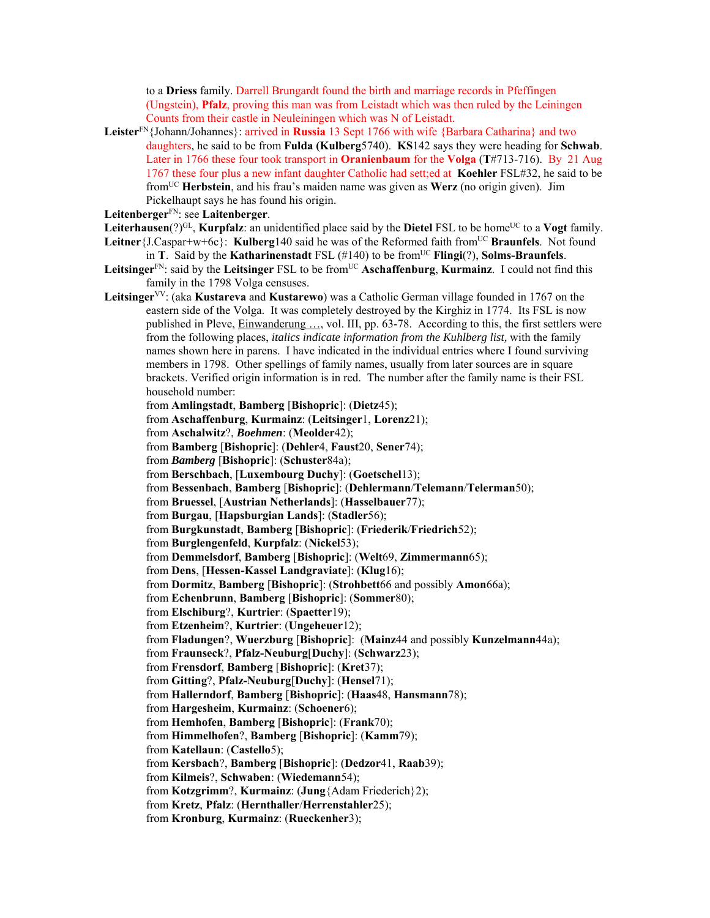to a **Driess** family. Darrell Brungardt found the birth and marriage records in Pfeffingen (Ungstein), **Pfalz**, proving this man was from Leistadt which was then ruled by the Leiningen Counts from their castle in Neuleiningen which was N of Leistadt.

- **Leister**FN{Johann/Johannes}: arrived in **Russia** 13 Sept 1766 with wife {Barbara Catharina} and two daughters, he said to be from **Fulda (Kulberg**5740). **KS**142 says they were heading for **Schwab**. Later in 1766 these four took transport in **Oranienbaum** for the **Volga** (**T**#713-716). By21 Aug 1767 these four plus a new infant daughter Catholic had sett;ed at **Koehler** FSL#32, he said to be fromUC **Herbstein**, and his frau's maiden name was given as **Werz** (no origin given). Jim Pickelhaupt says he has found his origin.
- **Leitenberger**FN: see **Laitenberger**.
- Leiterhausen(?)<sup>GL</sup>, **Kurpfalz**: an unidentified place said by the **Dietel** FSL to be home<sup>UC</sup> to a **Vogt** family. Leitner {J.Caspar+w+6c}: **Kulberg**140 said he was of the Reformed faith from<sup>UC</sup> Braunfels. Not found in **T**. Said by the **Katharinenstadt** FSL  $(\#140)$  to be from<sup>UC</sup> **Flingi**(?), **Solms-Braunfels**.
- Leitsinger<sup>FN</sup>: said by the Leitsinger FSL to be from<sup>UC</sup> Aschaffenburg, Kurmainz. I could not find this family in the 1798 Volga censuses.
- **Leitsinger**VV: (aka **Kustareva** and **Kustarewo**) was a Catholic German village founded in 1767 on the eastern side of the Volga. It was completely destroyed by the Kirghiz in 1774. Its FSL is now published in Pleve, Einwanderung …, vol. III, pp. 63-78. According to this, the first settlers were from the following places, *italics indicate information from the Kuhlberg list,* with the family names shown here in parens. I have indicated in the individual entries where I found surviving members in 1798. Other spellings of family names, usually from later sources are in square brackets. Verified origin information is in red. The number after the family name is their FSL household number:
	- from **Amlingstadt**, **Bamberg** [**Bishopric**]: (**Dietz**45);
	- from **Aschaffenburg**, **Kurmainz**: (**Leitsinger**1, **Lorenz**21);
	- from **Aschalwitz**?, *Boehmen*: (**Meolder**42);
	- from **Bamberg** [**Bishopric**]: (**Dehler**4, **Faust**20, **Sener**74);
	- from *Bamberg* [**Bishopric**]: (**Schuster**84a);
	- from **Berschbach**, [**Luxembourg Duchy**]: (**Goetschel**13);
	- from **Bessenbach**, **Bamberg** [**Bishopric**]: (**Dehlermann**/**Telemann**/**Telerman**50);
	- from **Bruessel**, [**Austrian Netherlands**]: (**Hasselbauer**77);
	- from **Burgau**, [**Hapsburgian Lands**]: (**Stadler**56);
	- from **Burgkunstadt**, **Bamberg** [**Bishopric**]: (**Friederik**/**Friedrich**52);
	- from **Burglengenfeld**, **Kurpfalz**: (**Nickel**53);
	- from **Demmelsdorf**, **Bamberg** [**Bishopric**]: (**Welt**69, **Zimmermann**65);
	- from **Dens**, [**Hessen-Kassel Landgraviate**]: (**Klug**16);
	- from **Dormitz**, **Bamberg** [**Bishopric**]: (**Strohbett**66 and possibly **Amon**66a);
	- from **Echenbrunn**, **Bamberg** [**Bishopric**]: (**Sommer**80);
	- from **Elschiburg**?, **Kurtrier**: (**Spaetter**19);
	- from **Etzenheim**?, **Kurtrier**: (**Ungeheuer**12);
	- from **Fladungen**?, **Wuerzburg** [**Bishopric**]: (**Mainz**44 and possibly **Kunzelmann**44a);
	- from **Fraunseck**?, **Pfalz-Neuburg**[**Duchy**]: (**Schwarz**23);
	- from **Frensdorf**, **Bamberg** [**Bishopric**]: (**Kret**37);
	- from **Gitting**?, **Pfalz-Neuburg**[**Duchy**]: (**Hensel**71);
	- from **Hallerndorf**, **Bamberg** [**Bishopric**]: (**Haas**48, **Hansmann**78);
	- from **Hargesheim**, **Kurmainz**: (**Schoener**6);
	- from **Hemhofen**, **Bamberg** [**Bishopric**]: (**Frank**70);
	- from **Himmelhofen**?, **Bamberg** [**Bishopric**]: (**Kamm**79);
	- from **Katellaun**: (**Castello**5);
	- from **Kersbach**?, **Bamberg** [**Bishopric**]: (**Dedzor**41, **Raab**39);
	- from **Kilmeis**?, **Schwaben**: (**Wiedemann**54);
	- from **Kotzgrimm**?, **Kurmainz**: (**Jung**{Adam Friederich}2);
	- from **Kretz**, **Pfalz**: (**Hernthaller**/**Herrenstahler**25);
	- from **Kronburg**, **Kurmainz**: (**Rueckenher**3);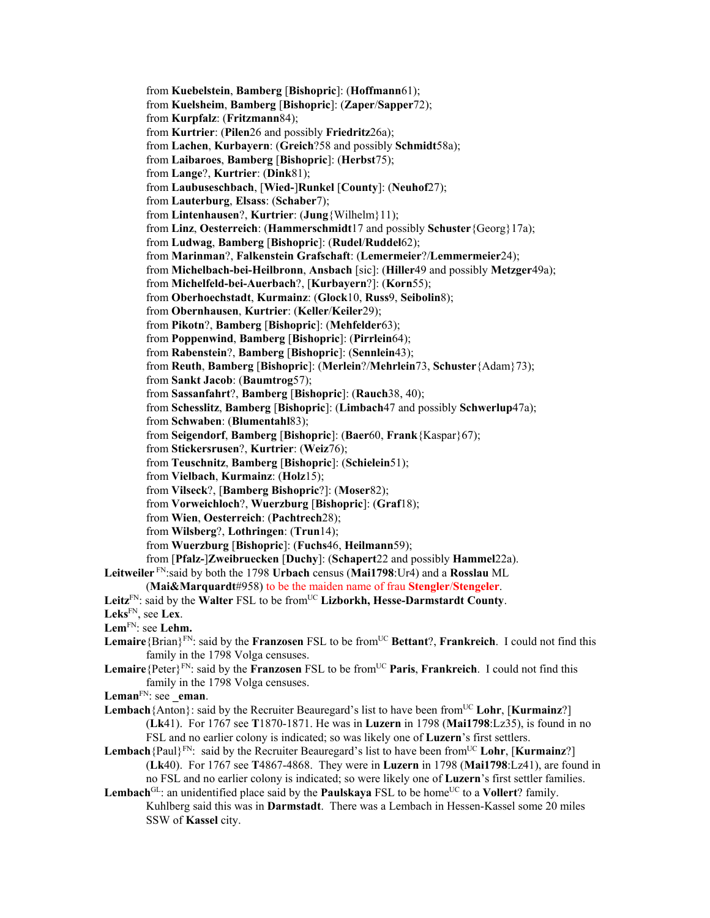from **Kuebelstein**, **Bamberg** [**Bishopric**]: (**Hoffmann**61); from **Kuelsheim**, **Bamberg** [**Bishopric**]: (**Zaper**/**Sapper**72); from **Kurpfalz**: (**Fritzmann**84); from **Kurtrier**: (**Pilen**26 and possibly **Friedritz**26a); from **Lachen**, **Kurbayern**: (**Greich**?58 and possibly **Schmidt**58a); from **Laibaroes**, **Bamberg** [**Bishopric**]: (**Herbst**75); from **Lange**?, **Kurtrier**: (**Dink**81); from **Laubuseschbach**, [**Wied-**]**Runkel** [**County**]: (**Neuhof**27); from **Lauterburg**, **Elsass**: (**Schaber**7); from **Lintenhausen**?, **Kurtrier**: (**Jung**{Wilhelm}11); from **Linz**, **Oesterreich**: (**Hammerschmidt**17 and possibly **Schuster**{Georg}17a); from **Ludwag**, **Bamberg** [**Bishopric**]: (**Rudel**/**Ruddel**62); from **Marinman**?, **Falkenstein Grafschaft**: (**Lemermeier**?/**Lemmermeier**24); from **Michelbach-bei-Heilbronn**, **Ansbach** [sic]: (**Hiller**49 and possibly **Metzger**49a); from **Michelfeld-bei-Auerbach**?, [**Kurbayern**?]: (**Korn**55); from **Oberhoechstadt**, **Kurmainz**: (**Glock**10, **Russ**9, **Seibolin**8); from **Obernhausen**, **Kurtrier**: (**Keller**/**Keiler**29); from **Pikotn**?, **Bamberg** [**Bishopric**]: (**Mehfelder**63); from **Poppenwind**, **Bamberg** [**Bishopric**]: (**Pirrlein**64); from **Rabenstein**?, **Bamberg** [**Bishopric**]: (**Sennlein**43); from **Reuth**, **Bamberg** [**Bishopric**]: (**Merlein**?/**Mehrlein**73, **Schuster**{Adam}73); from **Sankt Jacob**: (**Baumtrog**57); from **Sassanfahrt**?, **Bamberg** [**Bishopric**]: (**Rauch**38, 40); from **Schesslitz**, **Bamberg** [**Bishopric**]: (**Limbach**47 and possibly **Schwerlup**47a); from **Schwaben**: (**Blumentahl**83); from **Seigendorf**, **Bamberg** [**Bishopric**]: (**Baer**60, **Frank**{Kaspar}67); from **Stickersrusen**?, **Kurtrier**: (**Weiz**76); from **Teuschnitz**, **Bamberg** [**Bishopric**]: (**Schielein**51); from **Vielbach**, **Kurmainz**: (**Holz**15); from **Vilseck**?, [**Bamberg Bishopric**?]: (**Moser**82); from **Vorweichloch**?, **Wuerzburg** [**Bishopric**]: (**Graf**18); from **Wien**, **Oesterreich**: (**Pachtrech**28); from **Wilsberg**?, **Lothringen**: (**Trun**14); from **Wuerzburg** [**Bishopric**]: (**Fuchs**46, **Heilmann**59); from [**Pfalz-**]**Zweibruecken** [**Duchy**]: (**Schapert**22 and possibly **Hammel**22a). **Leitweiler** FN:said by both the 1798 **Urbach** census (**Mai1798**:Ur4) and a **Rosslau** ML (**Mai&Marquardt**#958) to be the maiden name of frau **Stengler**/**Stengeler**. Leitz<sup>FN</sup>: said by the Walter FSL to be from<sup>UC</sup> Lizborkh, Hesse-Darmstardt County. **Leks**FN, see **Lex**. **Lem**FN: see **Lehm.**  Lemaire<sup>{Brian}FN</sup>: said by the **Franzosen** FSL to be from<sup>UC</sup> **Bettant**?, **Frankreich**. I could not find this family in the 1798 Volga censuses.

- Lemaire<sup>{Peter}FN</sup>: said by the **Franzosen** FSL to be from<sup>UC</sup> **Paris**, **Frankreich**. I could not find this family in the 1798 Volga censuses.
- Leman<sup>FN</sup>: see eman.
- **Lembach**{Anton}: said by the Recruiter Beauregard's list to have been from<sup>UC</sup> Lohr, [Kurmainz?] (**Lk**41). For 1767 see **T**1870-1871. He was in **Luzern** in 1798 (**Mai1798**:Lz35), is found in no FSL and no earlier colony is indicated; so was likely one of **Luzern**'s first settlers.
- **Lembach**{Paul}<sup>FN</sup>: said by the Recruiter Beauregard's list to have been from<sup>UC</sup> Lohr, [**Kurmainz**?] (**Lk**40). For 1767 see **T**4867-4868. They were in **Luzern** in 1798 (**Mai1798**:Lz41), are found in no FSL and no earlier colony is indicated; so were likely one of **Luzern**'s first settler families. **Lembach**<sup>GL</sup>: an unidentified place said by the **Paulskaya** FSL to be home<sup>UC</sup> to a **Vollert**? family.
- Kuhlberg said this was in **Darmstadt**. There was a Lembach in Hessen-Kassel some 20 miles SSW of **Kassel** city.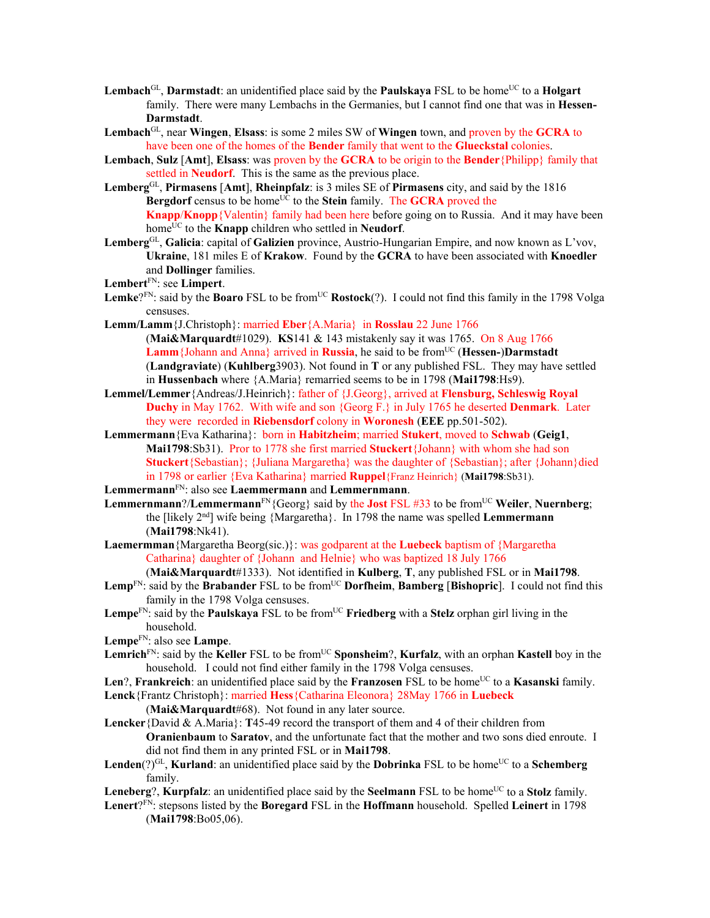- **Lembach**<sup>GL</sup>, **Darmstadt**: an unidentified place said by the **Paulskaya** FSL to be home<sup>UC</sup> to a **Holgart** family. There were many Lembachs in the Germanies, but I cannot find one that was in **Hessen-Darmstadt**.
- **Lembach**GL, near **Wingen**, **Elsass**: is some 2 miles SW of **Wingen** town, and proven by the **GCRA** to have been one of the homes of the **Bender** family that went to the **Glueckstal** colonies.
- **Lembach**, **Sulz** [**Amt**], **Elsass**: was proven by the **GCRA** to be origin to the **Bender**{Philipp} family that settled in **Neudorf**. This is the same as the previous place.
- **Lemberg**GL, **Pirmasens** [**Amt**], **Rheinpfalz**: is 3 miles SE of **Pirmasens** city, and said by the 1816 **Bergdorf** census to be home<sup>UC</sup> to the **Stein** family. The **GCRA** proved the **Knapp**/**Knopp**{Valentin} family had been here before going on to Russia. And it may have been home<sup>UC</sup> to the **Knapp** children who settled in **Neudorf**.
- **Lemberg**GL, **Galicia**: capital of **Galizien** province, Austrio-Hungarian Empire, and now known as L'vov, **Ukraine**, 181 miles E of **Krakow**. Found by the **GCRA** to have been associated with **Knoedler** and **Dollinger** families.
- **Lembert**FN: see **Limpert**.
- Lemke<sup>?FN</sup>: said by the **Boaro** FSL to be from<sup>UC</sup> **Rostock**(?). I could not find this family in the 1798 Volga censuses.
- **Lemm/Lamm**{J.Christoph}: married **Eber**{A.Maria} in **Rosslau** 22 June 1766 (**Mai&Marquardt**#1029). **KS**141 & 143 mistakenly say it was 1765. On 8 Aug 1766 Lamm<sup>{Johann and Anna} arrived in **Russia**, he said to be from<sup>UC</sup> (**Hessen-**)Darmstadt</sup> (**Landgraviate**) (**Kuhlberg**3903). Not found in **T** or any published FSL. They may have settled in **Hussenbach** where {A.Maria} remarried seems to be in 1798 (**Mai1798**:Hs9).
- **Lemmel/Lemmer**{Andreas/J.Heinrich}: father of {J.Georg}, arrived at **Flensburg, Schleswig Royal Duchy** in May 1762. With wife and son {Georg F.} in July 1765 he deserted **Denmark**. Later they were recorded in **Riebensdorf** colony in **Woronesh** (**EEE** pp.501-502).
- **Lemmermann**{Eva Katharina}: born in **Habitzheim**; married **Stukert**, moved to **Schwab** (**Geig1**, **Mai1798**:Sb31). Pror to 1778 she first married **Stuckert**{Johann} with whom she had son **Stuckert**{Sebastian}; {Juliana Margaretha} was the daughter of {Sebastian}; after {Johann}died in 1798 or earlier {Eva Katharina} married **Ruppel**{Franz Heinrich} (**Mai1798**:Sb31).
- **Lemmermann**FN: also see **Laemmermann** and **Lemmernmann**.
- **Lemmernmann**?/**Lemmermann**<sup>FN</sup>{Georg} said by the **Jost** FSL #33 to be from<sup>UC</sup> Weiler, Nuernberg; the [likely 2nd] wife being {Margaretha}. In 1798 the name was spelled **Lemmermann** (**Mai1798**:Nk41).
- **Laemermman**{Margaretha Beorg(sic.)}: was godparent at the **Luebeck** baptism of {Margaretha Catharina} daughter of {Johann and Helnie} who was baptized 18 July 1766
	- (**Mai&Marquardt**#1333). Not identified in **Kulberg**, **T**, any published FSL or in **Mai1798**.
- Lemp<sup>FN</sup>: said by the Brabander FSL to be from<sup>UC</sup> Dorfheim, Bamberg [Bishopric]. I could not find this family in the 1798 Volga censuses.
- Lempe<sup>FN</sup>: said by the **Paulskaya** FSL to be from<sup>UC</sup> **Friedberg** with a **Stelz** orphan girl living in the household.
- **Lempe**FN: also see **Lampe**.
- Lemrich<sup>FN</sup>: said by the **Keller** FSL to be from<sup>UC</sup> **Sponsheim**?, **Kurfalz**, with an orphan **Kastell** boy in the household. I could not find either family in the 1798 Volga censuses.
- **Len**?, **Frankreich**: an unidentified place said by the **Franzosen** FSL to be home<sup>UC</sup> to a **Kasanski** family. **Lenck**{Frantz Christoph}: married **Hess**{Catharina Eleonora} 28May 1766 in **Luebeck** 
	- (**Mai&Marquardt**#68). Not found in any later source.
- **Lencker**{David & A.Maria}: **T**45-49 record the transport of them and 4 of their children from **Oranienbaum** to **Saratov**, and the unfortunate fact that the mother and two sons died enroute. I did not find them in any printed FSL or in **Mai1798**.
- **Lenden** $(?)^{GL}$ , **Kurland**: an unidentified place said by the **Dobrinka** FSL to be home<sup>UC</sup> to a **Schemberg** family.
- **Leneberg**?, **Kurpfalz**: an unidentified place said by the **Seelmann** FSL to be home<sup>UC</sup> to a **Stolz** family.
- **Lenert**?FN: stepsons listed by the **Boregard** FSL in the **Hoffmann** household. Spelled **Leinert** in 1798 (**Mai1798**:Bo05,06).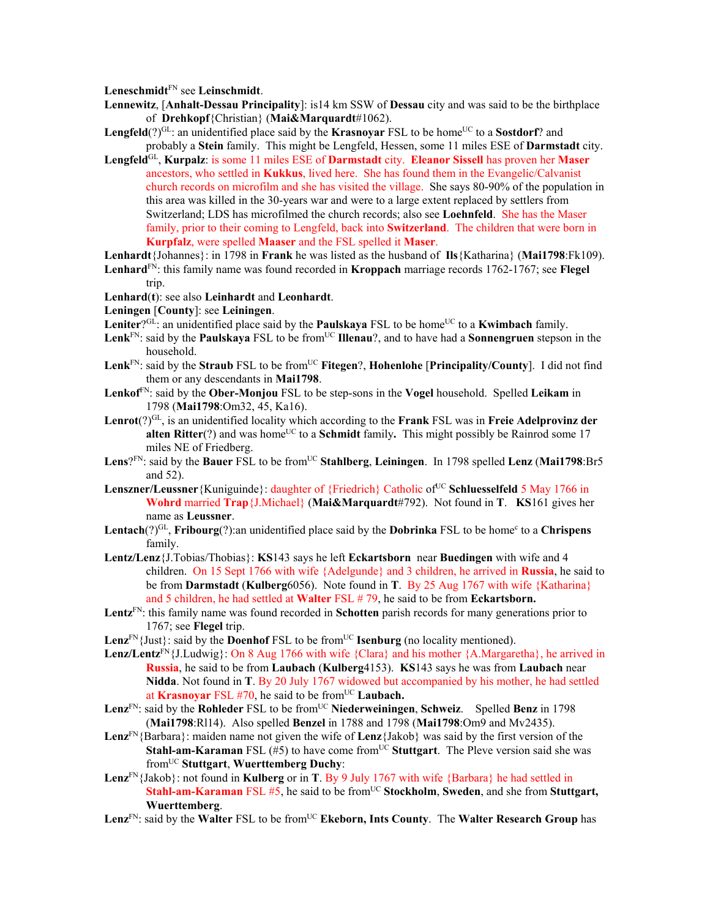**Leneschmidt**FN see **Leinschmidt**.

- **Lennewitz**, [**Anhalt-Dessau Principality**]: is14 km SSW of **Dessau** city and was said to be the birthplace of **Drehkopf**{Christian} (**Mai&Marquardt**#1062).
- **Lengfeld**(?) $\rm{GL}$ : an unidentified place said by the **Krasnovar** FSL to be home<sup>UC</sup> to a **Sostdorf**? and probably a **Stein** family. This might be Lengfeld, Hessen, some 11 miles ESE of **Darmstadt** city.
- **Lengfeld**GL, **Kurpalz**: is some 11 miles ESE of **Darmstadt** city. **Eleanor Sissell** has proven her **Maser** ancestors, who settled in **Kukkus**, lived here. She has found them in the Evangelic/Calvanist church records on microfilm and she has visited the village. She says 80-90% of the population in this area was killed in the 30-years war and were to a large extent replaced by settlers from Switzerland; LDS has microfilmed the church records; also see **Loehnfeld**. She has the Maser family, prior to their coming to Lengfeld, back into **Switzerland**. The children that were born in **Kurpfalz**, were spelled **Maaser** and the FSL spelled it **Maser**.

**Lenhardt**{Johannes}: in 1798 in **Frank** he was listed as the husband of **Ils**{Katharina} (**Mai1798**:Fk109).

- **Lenhard**FN: this family name was found recorded in **Kroppach** marriage records 1762-1767; see **Flegel** trip.
- **Lenhard**(**t**): see also **Leinhardt** and **Leonhardt**.
- **Leningen** [**County**]: see **Leiningen**.
- **Leniter**<sup>2GL</sup>: an unidentified place said by the **Paulskaya** FSL to be home<sup>UC</sup> to a **Kwimbach** family.
- Lenk<sup>FN</sup>: said by the **Paulskaya** FSL to be from<sup>UC</sup> **Illenau**?, and to have had a **Sonnengruen** stepson in the household.
- Lenk<sup>FN</sup>: said by the **Straub** FSL to be from<sup>UC</sup> Fitegen?, **Hohenlohe** [Principality/County]. I did not find them or any descendants in **Mai1798**.
- **Lenkof**FN: said by the **Ober-Monjou** FSL to be step-sons in the **Vogel** household. Spelled **Leikam** in 1798 (**Mai1798**:Om32, 45, Ka16).
- **Lenrot**(?)GL, is an unidentified locality which according to the **Frank** FSL was in **Freie Adelprovinz der alten Ritter**(?) and was home<sup>UC</sup> to a **Schmidt** family. This might possibly be Rainrod some 17 miles NE of Friedberg.
- **Lens**?FN: said by the **Bauer** FSL to be from<sup>UC</sup> Stahlberg, Leiningen. In 1798 spelled Lenz (Mai1798:Br5 and 52).
- **Lenszner/Leussner**{Kuniguinde}: daughter of {Friedrich} Catholic of<sup>UC</sup> Schluesselfeld 5 May 1766 in **Wohrd** married **Trap**{J.Michael} (**Mai&Marquardt**#792). Not found in **T**. **KS**161 gives her name as **Leussner**.
- Lentach(?)<sup>GL</sup>, Fribourg(?):an unidentified place said by the **Dobrinka** FSL to be home<sup>c</sup> to a Chrispens family.
- **Lentz/Lenz**{J.Tobias/Thobias}: **KS**143 says he left **Eckartsborn** near **Buedingen** with wife and 4 children. On 15 Sept 1766 with wife {Adelgunde} and 3 children, he arrived in **Russia**, he said to be from **Darmstadt** (**Kulberg**6056). Note found in **T**. By 25 Aug 1767 with wife {Katharina} and 5 children, he had settled at **Walter** FSL # 79, he said to be from **Eckartsborn.**
- **Lentz**FN: this family name was found recorded in **Schotten** parish records for many generations prior to 1767; see **Flegel** trip.
- **Lenz**<sup>FN</sup>{Just}: said by the **Doenhof** FSL to be from<sup>UC</sup> **Isenburg** (no locality mentioned).
- Lenz/Lentz<sup>FN</sup>{J.Ludwig}: On 8 Aug 1766 with wife {Clara} and his mother {A.Margaretha}, he arrived in **Russia**, he said to be from **Laubach** (**Kulberg**4153). **KS**143 says he was from **Laubach** near **Nidda**. Not found in **T**. By 20 July 1767 widowed but accompanied by his mother, he had settled at **Krasnoyar** FSL #70, he said to be from<sup>UC</sup> Laubach.
- **Lenz**<sup>FN</sup>: said by the **Rohleder** FSL to be from<sup>UC</sup> **Niederweiningen**, **Schweiz**. Spelled **Benz** in 1798 (**Mai1798**:Rl14). Also spelled **Benzel** in 1788 and 1798 (**Mai1798**:Om9 and Mv2435).
- **Lenz**FN{Barbara}: maiden name not given the wife of **Lenz**{Jakob} was said by the first version of the **Stahl-am-Karaman** FSL (#5) to have come from<sup>UC</sup> Stuttgart. The Pleve version said she was fromUC **Stuttgart**, **Wuerttemberg Duchy**:
- Lenz<sup>FN</sup>{Jakob}: not found in **Kulberg** or in **T**. By 9 July 1767 with wife {Barbara} he had settled in **Stahl-am-Karaman** FSL #5, he said to be from<sup>UC</sup> Stockholm, Sweden, and she from Stuttgart, **Wuerttemberg**.
- Lenz<sup>FN</sup>: said by the Walter FSL to be from<sup>UC</sup> Ekeborn, Ints County. The Walter Research Group has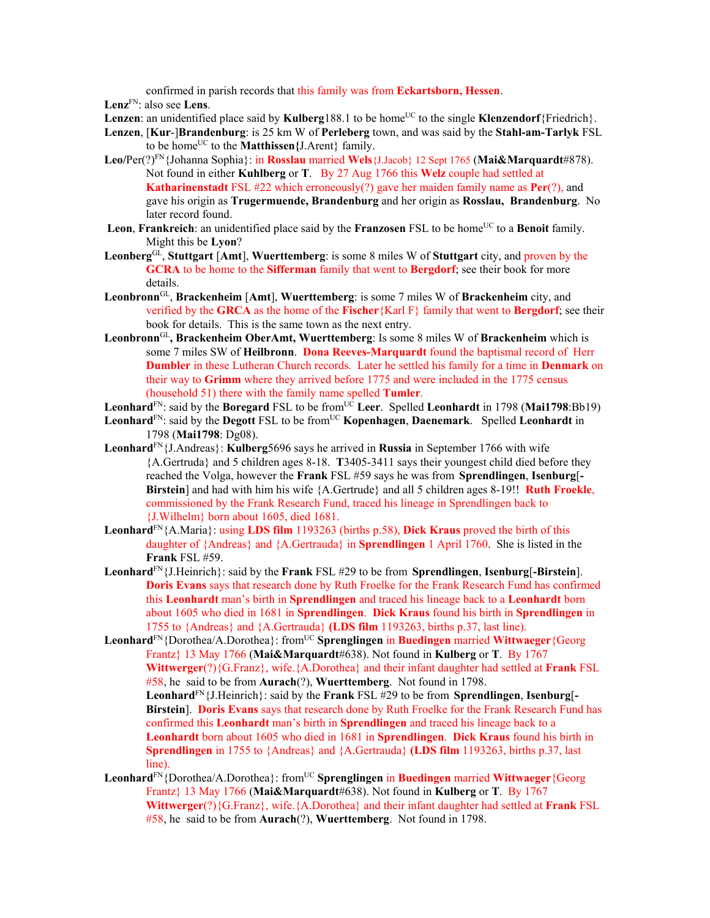confirmed in parish records that this family was from **Eckartsborn, Hessen**.

**Lenz**FN: also see **Lens**.

- **Lenzen:** an unidentified place said by **Kulberg**188.1 to be home<sup>UC</sup> to the single **Klenzendorf**{Friedrich}.
- **Lenzen**, [**Kur**-]**Brandenburg**: is 25 km W of **Perleberg** town, and was said by the **Stahl-am-Tarlyk** FSL to be home<sup>UC</sup> to the **Matthissen**{J.Arent} family.
- **Leo/**Per(?)FN{Johanna Sophia}: in **Rosslau** married **Wels**{J.Jacob} 12 Sept 1765 (**Mai&Marquardt**#878). Not found in either **Kuhlberg** or **T**. By 27 Aug 1766 this **Welz** couple had settled at **Katharinenstadt** FSL #22 which erroneously(?) gave her maiden family name as **Per**(?), and gave his origin as **Trugermuende, Brandenburg** and her origin as **Rosslau, Brandenburg**. No later record found.
- **Leon, Frankreich**: an unidentified place said by the **Franzosen** FSL to be home<sup>UC</sup> to a **Benoit** family. Might this be **Lyon**?
- **Leonberg**GL, **Stuttgart** [**Amt**], **Wuerttemberg**: is some 8 miles W of **Stuttgart** city, and proven by the **GCRA** to be home to the **Sifferman** family that went to **Bergdorf**; see their book for more details.
- **Leonbronn**GL, **Brackenheim** [**Amt**], **Wuerttemberg**: is some 7 miles W of **Brackenheim** city, and verified by the **GRCA** as the home of the **Fischer**{Karl F} family that went to **Bergdorf**; see their book for details. This is the same town as the next entry.
- **Leonbronn**GL**, Brackenheim OberAmt, Wuerttemberg**: Is some 8 miles W of **Brackenheim** which is some 7 miles SW of **Heilbronn**. **Dona Reeves-Marquardt** found the baptismal record of Herr **Dumbler** in these Lutheran Church records. Later he settled his family for a time in **Denmark** on their way to **Grimm** where they arrived before 1775 and were included in the 1775 census (household 51) there with the family name spelled **Tumler**.
- **Leonhard**<sup>FN</sup>: said by the **Boregard** FSL to be from  $\overline{UC}$  **Leer.** Spelled **Leonhardt** in 1798 (Mai1798:Bb19)
- Leonhard<sup>FN</sup>: said by the **Degott** FSL to be from<sup>UC</sup> **Kopenhagen**, **Daenemark**. Spelled Leonhardt in 1798 (**Mai1798**: Dg08).
- **Leonhard**FN{J.Andreas}: **Kulberg**5696 says he arrived in **Russia** in September 1766 with wife {A.Gertruda} and 5 children ages 8-18. **T**3405-3411 says their youngest child died before they reached the Volga, however the **Frank** FSL #59 says he was from **Sprendlingen**, **Isenburg**[**- Birstein**] and had with him his wife {A.Gertrude} and all 5 children ages 8-19!! **Ruth Froekle**, commissioned by the Frank Research Fund, traced his lineage in Sprendlingen back to {J.Wilhelm} born about 1605, died 1681.
- **Leonhard**FN{A.Maria}: using **LDS film** 1193263 (births p.58), **Dick Kraus** proved the birth of this daughter of {Andreas} and {A.Gertrauda} in **Sprendlingen** 1 April 1760. She is listed in the **Frank** FSL #59.
- **Leonhard**FN{J.Heinrich}: said by the **Frank** FSL #29 to be from **Sprendlingen**, **Isenburg**[**-Birstein**]. **Doris Evans** says that research done by Ruth Froelke for the Frank Research Fund has confirmed this **Leonhardt** man's birth in **Sprendlingen** and traced his lineage back to a **Leonhardt** born about 1605 who died in 1681 in **Sprendlingen**. **Dick Kraus** found his birth in **Sprendlingen** in 1755 to {Andreas} and {A.Gertrauda} **(LDS film** 1193263, births p.37, last line).
- **Leonhard**<sup>FN</sup>{Dorothea/A.Dorothea}: from<sup>UC</sup> **Sprenglingen** in **Buedingen** married **Wittwaeger**{Georg Frantz} 13 May 1766 (**Mai&Marquardt**#638). Not found in **Kulberg** or **T**. By 1767 **Wittwerger**(?){G.Franz}, wife.{A.Dorothea} and their infant daughter had settled at **Frank** FSL #58, he said to be from **Aurach**(?), **Wuerttemberg**. Not found in 1798. **Leonhard**FN{J.Heinrich}: said by the **Frank** FSL #29 to be from **Sprendlingen**, **Isenburg**[**- Birstein**]. **Doris Evans** says that research done by Ruth Froelke for the Frank Research Fund has confirmed this **Leonhardt** man's birth in **Sprendlingen** and traced his lineage back to a **Leonhardt** born about 1605 who died in 1681 in **Sprendlingen**. **Dick Kraus** found his birth in **Sprendlingen** in 1755 to {Andreas} and {A.Gertrauda} **(LDS film** 1193263, births p.37, last line).
- **Leonhard**<sup>FN</sup>{Dorothea/A.Dorothea}: from<sup>UC</sup> **Sprenglingen** in **Buedingen** married **Wittwaeger**{Georg Frantz} 13 May 1766 (**Mai&Marquardt**#638). Not found in **Kulberg** or **T**. By 1767 **Wittwerger**(?){G.Franz}, wife.{A.Dorothea} and their infant daughter had settled at **Frank** FSL #58, he said to be from **Aurach**(?), **Wuerttemberg**. Not found in 1798.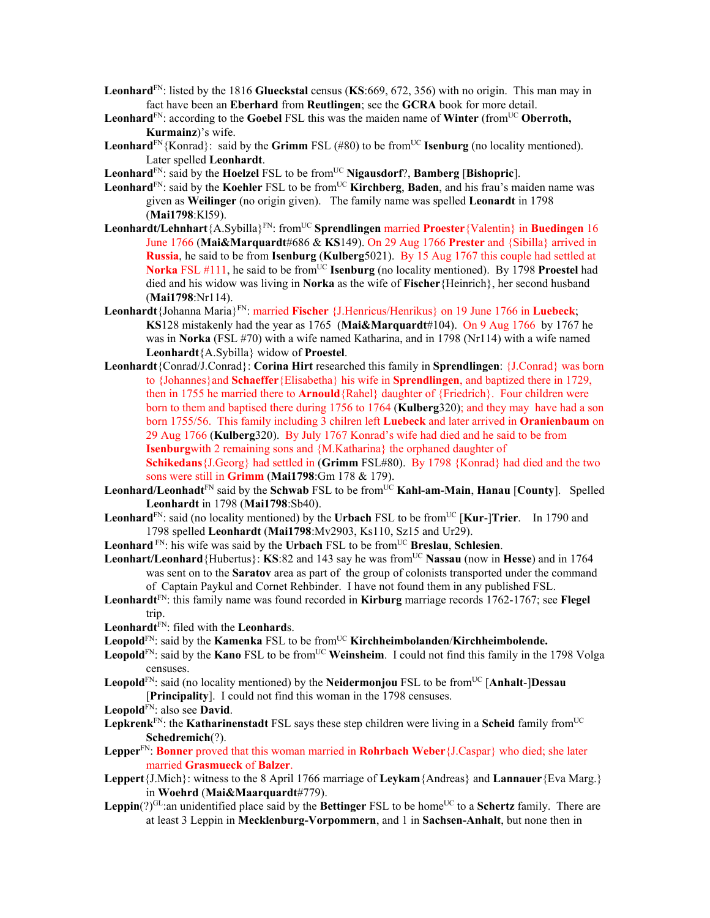- **Leonhard**FN: listed by the 1816 **Glueckstal** census (**KS**:669, 672, 356) with no origin. This man may in fact have been an **Eberhard** from **Reutlingen**; see the **GCRA** book for more detail.
- **Leonhard**<sup>FN</sup>: according to the **Goebel** FSL this was the maiden name of **Winter** (from<sup>UC</sup> **Oberroth, Kurmainz**)'s wife.
- **Leonhard**<sup>FN</sup>{Konrad}: said by the **Grimm** FSL (#80) to be from<sup>UC</sup> **Isenburg** (no locality mentioned). Later spelled **Leonhardt**.
- **Leonhard**<sup>FN</sup>: said by the **Hoelzel** FSL to be from<sup>UC</sup> **Nigausdorf**?, **Bamberg** [Bishopric].
- Leonhard<sup>FN</sup>: said by the **Koehler** FSL to be from<sup>UC</sup> **Kirchberg**, **Baden**, and his frau's maiden name was given as **Weilinger** (no origin given). The family name was spelled **Leonardt** in 1798 (**Mai1798**:Kl59).
- **Leonhardt/Lehnhart**{A.Sybilla}FN: fromUC **Sprendlingen** married **Proester**{Valentin} in **Buedingen** 16 June 1766 (**Mai&Marquardt**#686 & **KS**149). On 29 Aug 1766 **Prester** and {Sibilla} arrived in **Russia**, he said to be from **Isenburg** (**Kulberg**5021). By 15 Aug 1767 this couple had settled at **Norka** FSL #111, he said to be from<sup>UC</sup> **Isenburg** (no locality mentioned). By 1798 **Proestel** had died and his widow was living in **Norka** as the wife of **Fischer**{Heinrich}, her second husband (**Mai1798**:Nr114).
- **Leonhardt**{Johanna Maria}FN: married **Fischer** {J.Henricus/Henrikus} on 19 June 1766 in **Luebeck**; **KS**128 mistakenly had the year as 1765 (**Mai&Marquardt**#104). On 9 Aug 1766 by 1767 he was in **Norka** (FSL #70) with a wife named Katharina, and in 1798 (Nr114) with a wife named **Leonhardt**{A.Sybilla} widow of **Proestel**.
- **Leonhardt**{Conrad/J.Conrad}: **Corina Hirt** researched this family in **Sprendlingen**: {J.Conrad} was born to {Johannes}and **Schaeffer**{Elisabetha} his wife in **Sprendlingen**, and baptized there in 1729, then in 1755 he married there to **Arnould**{Rahel} daughter of {Friedrich}. Four children were born to them and baptised there during 1756 to 1764 (**Kulberg**320); and they may have had a son born 1755/56. This family including 3 chilren left **Luebeck** and later arrived in **Oranienbaum** on 29 Aug 1766 (**Kulberg**320). By July 1767 Konrad's wife had died and he said to be from **Isenburg**with 2 remaining sons and {M.Katharina} the orphaned daughter of **Schikedans**{J.Georg} had settled in (**Grimm** FSL#80). By 1798 {Konrad} had died and the two sons were still in **Grimm** (**Mai1798**:Gm 178 & 179).
- Leonhard/Leonhadt<sup>FN</sup> said by the Schwab FSL to be from<sup>UC</sup> Kahl-am-Main, Hanau [County]. Spelled **Leonhardt** in 1798 (**Mai1798**:Sb40).
- **Leonhard**<sup>FN</sup>: said (no locality mentioned) by the **Urbach** FSL to be from<sup>UC</sup> [**Kur-**]**Trier**. In 1790 and 1798 spelled **Leonhardt** (**Mai1798**:Mv2903, Ks110, Sz15 and Ur29).
- Leonhard<sup>FN</sup>: his wife was said by the Urbach FSL to be from<sup>UC</sup> Breslau, Schlesien.
- **Leonhart/Leonhard** {Hubertus}: **KS**:82 and 143 say he was from<sup>UC</sup> Nassau (now in Hesse) and in 1764 was sent on to the **Saratov** area as part of the group of colonists transported under the command of Captain Paykul and Cornet Rehbinder. I have not found them in any published FSL.
- **Leonhardt**FN: this family name was found recorded in **Kirburg** marriage records 1762-1767; see **Flegel** trip.
- **Leonhardt**FN: filed with the **Leonhard**s.
- Leopold<sup>FN</sup>: said by the **Kamenka** FSL to be from<sup>UC</sup> **Kirchheimbolanden/Kirchheimbolende.**
- Leopold<sup>FN</sup>: said by the **Kano** FSL to be from<sup>UC</sup> Weinsheim. I could not find this family in the 1798 Volga censuses.
- **Leopold**FN: said (no locality mentioned) by the **Neidermonjou** FSL to be fromUC [**Anhalt**-]**Dessau** [**Principality**]. I could not find this woman in the 1798 censuses.
- **Leopold**FN: also see **David**.
- **Lepkrenk**<sup>FN</sup>: the **Katharinenstadt** FSL says these step children were living in a **Scheid** family from<sup>UC</sup> **Schedremich**(?).
- **Lepper**FN: **Bonner** proved that this woman married in **Rohrbach Weber**{J.Caspar} who died; she later married **Grasmueck** of **Balzer**.
- **Leppert**{J.Mich}: witness to the 8 April 1766 marriage of **Leykam**{Andreas} and **Lannauer**{Eva Marg.} in **Woehrd** (**Mai&Maarquardt**#779).
- **Leppin**(?)<sup>GL</sup>:an unidentified place said by the **Bettinger** FSL to be home<sup>UC</sup> to a **Schertz** family. There are at least 3 Leppin in **Mecklenburg-Vorpommern**, and 1 in **Sachsen-Anhalt**, but none then in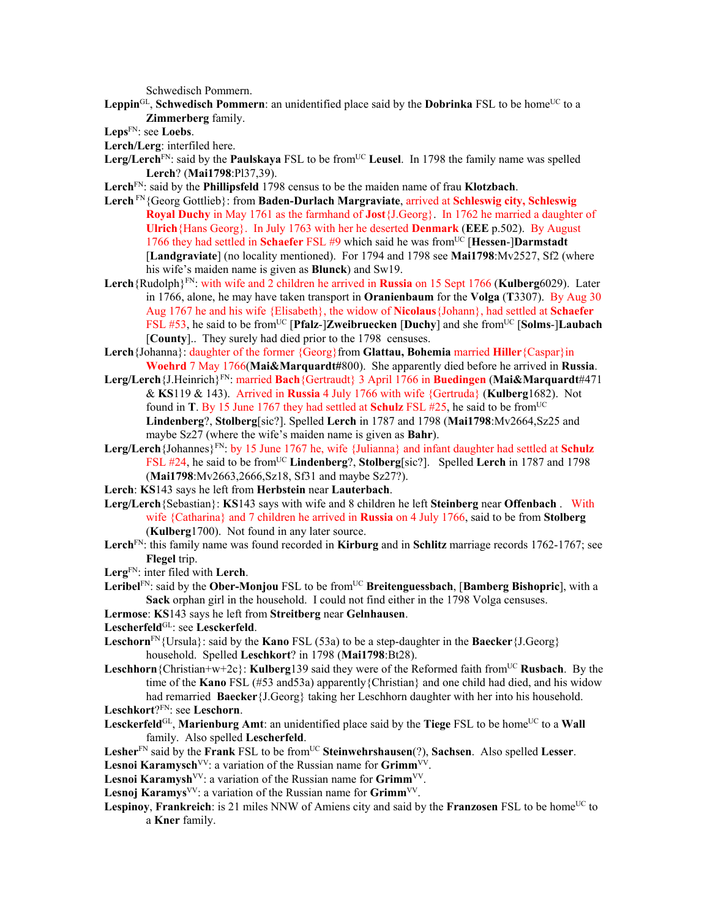Schwedisch Pommern.

- Leppin<sup>GL</sup>, Schwedisch Pommern: an unidentified place said by the **Dobrinka** FSL to be home<sup>UC</sup> to a **Zimmerberg** family.
- **Leps**FN: see **Loebs**.
- **Lerch/Lerg**: interfiled here.
- Lerg/Lerch<sup>FN</sup>: said by the **Paulskaya** FSL to be from<sup>UC</sup> Leusel. In 1798 the family name was spelled **Lerch**? (**Mai1798**:Pl37,39).
- **Lerch**FN: said by the **Phillipsfeld** 1798 census to be the maiden name of frau **Klotzbach**.
- **Lerch** FN{Georg Gottlieb}: from **Baden-Durlach Margraviate**, arrived at **Schleswig city, Schleswig Royal Duchy** in May 1761 as the farmhand of **Jost**{J.Georg}. In 1762 he married a daughter of **Ulrich**{Hans Georg}. In July 1763 with her he deserted **Denmark** (**EEE** p.502). By August 1766 they had settled in **Schaefer** FSL #9 which said he was from<sup>UC</sup> [Hessen-]Darmstadt [**Landgraviate**] (no locality mentioned). For 1794 and 1798 see **Mai1798**:Mv2527, Sf2 (where his wife's maiden name is given as **Blunck**) and Sw19.
- **Lerch**{Rudolph}FN: with wife and 2 children he arrived in **Russia** on 15 Sept 1766 (**Kulberg**6029). Later in 1766, alone, he may have taken transport in **Oranienbaum** for the **Volga** (**T**3307). By Aug 30 Aug 1767 he and his wife {Elisabeth}, the widow of **Nicolaus**{Johann}, had settled at **Schaefer** FSL #53, he said to be from<sup>UC</sup> [**Pfalz**-]**Zweibruecken** [**Duchy**] and she from<sup>UC</sup> [Solms-]Laubach [**County**].. They surely had died prior to the 1798 censuses.
- **Lerch**{Johanna}: daughter of the former {Georg}from **Glattau, Bohemia** married **Hiller**{Caspar}in **Woehrd** 7 May 1766(**Mai&Marquardt#**800). She apparently died before he arrived in **Russia**.
- **Lerg/Lerch**{J.Heinrich}FN: married **Bach**{Gertraudt} 3 April 1766 in **Buedingen** (**Mai&Marquardt**#471 & **KS**119 & 143). Arrived in **Russia** 4 July 1766 with wife {Gertruda} (**Kulberg**1682). Not found in **T**. By 15 June 1767 they had settled at **Schulz** FSL #25, he said to be from<sup>UC</sup> **Lindenberg**?, **Stolberg**[sic?]. Spelled **Lerch** in 1787 and 1798 (**Mai1798**:Mv2664,Sz25 and maybe Sz27 (where the wife's maiden name is given as **Bahr**).
- Lerg/Lerch {Johannes}<sup>FN</sup>: by 15 June 1767 he, wife {Julianna} and infant daughter had settled at **Schulz** FSL #24, he said to be fromUC **Lindenberg**?, **Stolberg**[sic?]. Spelled **Lerch** in 1787 and 1798 (**Mai1798**:Mv2663,2666,Sz18, Sf31 and maybe Sz27?).
- **Lerch**: **KS**143 says he left from **Herbstein** near **Lauterbach**.
- **Lerg/Lerch**{Sebastian}: **KS**143 says with wife and 8 children he left **Steinberg** near **Offenbach** . With wife {Catharina} and 7 children he arrived in **Russia** on 4 July 1766, said to be from **Stolberg** (**Kulberg**1700). Not found in any later source.
- **Lerch**FN: this family name was found recorded in **Kirburg** and in **Schlitz** marriage records 1762-1767; see **Flegel** trip.
- **Lerg**FN: inter filed with **Lerch**.
- Leribel<sup>FN</sup>: said by the **Ober-Monjou** FSL to be from<sup>UC</sup> Breitenguessbach, [Bamberg Bishopric], with a **Sack** orphan girl in the household. I could not find either in the 1798 Volga censuses.
- **Lermose**: **KS**143 says he left from **Streitberg** near **Gelnhausen**.
- Lescherfeld<sup>GL</sup>: see Lesckerfeld.
- **Leschorn**<sup>FN</sup>{Ursula}: said by the **Kano** FSL (53a) to be a step-daughter in the **Baecker** {J.Georg} household. Spelled **Leschkort**? in 1798 (**Mai1798**:Bt28).
- **Leschhorn**{Christian+w+2c}: **Kulberg**139 said they were of the Reformed faith from<sup>UC</sup> Rusbach. By the time of the **Kano** FSL (#53 and53a) apparently{Christian} and one child had died, and his widow had remarried **Baecker**{J.Georg} taking her Leschhorn daughter with her into his household. **Leschkort**?FN: see **Leschorn**.
- Lesckerfeld<sup>GL</sup>, Marienburg Amt: an unidentified place said by the Tiege FSL to be home<sup>UC</sup> to a Wall family. Also spelled **Lescherfeld**.
- Lesher<sup>FN</sup> said by the **Frank** FSL to be from<sup>UC</sup> Steinwehrshausen(?), Sachsen. Also spelled Lesser.
- Lesnoi Karamysch<sup>VV</sup>: a variation of the Russian name for Grimm<sup>VV</sup>.
- Lesnoi Karamysh<sup>VV</sup>: a variation of the Russian name for Grimm<sup>VV</sup>.
- Lesnoj Karamys<sup>VV</sup>: a variation of the Russian name for Grimm<sup>VV</sup>.
- **Lespinoy, Frankreich**: is 21 miles NNW of Amiens city and said by the **Franzosen** FSL to be home<sup>UC</sup> to a **Kner** family.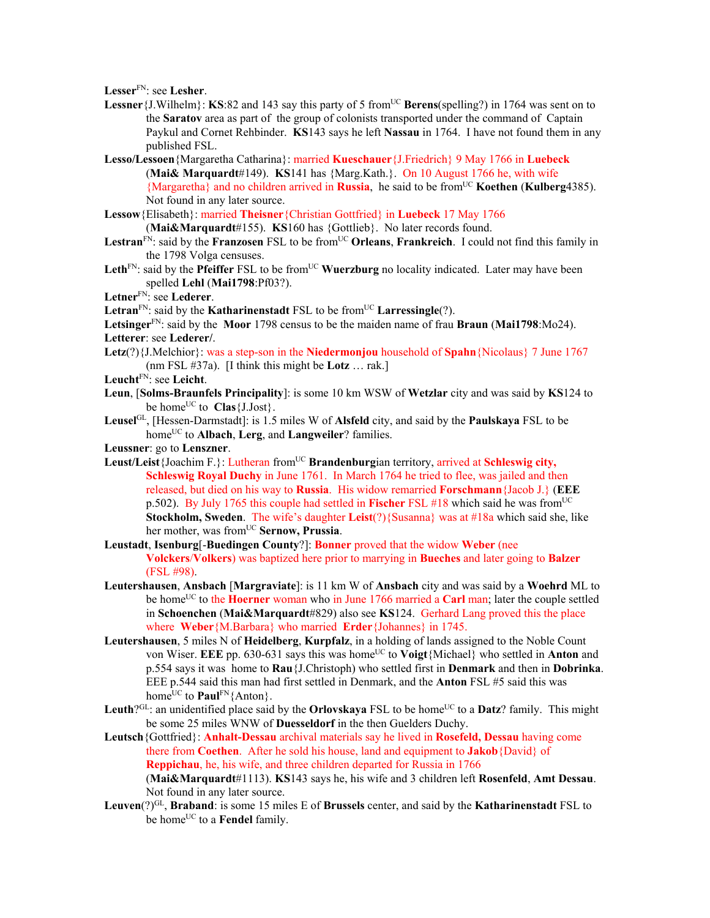**Lesser**FN: see **Lesher**.

- Lessner {J.Wilhelm}: KS:82 and 143 say this party of 5 from<sup>UC</sup> Berens(spelling?) in 1764 was sent on to the **Saratov** area as part of the group of colonists transported under the command of Captain Paykul and Cornet Rehbinder. **KS**143 says he left **Nassau** in 1764. I have not found them in any published FSL.
- **Lesso/Lessoen**{Margaretha Catharina}: married **Kueschauer**{J.Friedrich} 9 May 1766 in **Luebeck**  (**Mai& Marquardt**#149). **KS**141 has {Marg.Kath.}. On 10 August 1766 he, with wife {Margaretha} and no children arrived in **Russia**, he said to be fromUC **Koethen** (**Kulberg**4385). Not found in any later source.
- **Lessow**{Elisabeth}: married **Theisner**{Christian Gottfried} in **Luebeck** 17 May 1766 (**Mai&Marquardt**#155). **KS**160 has {Gottlieb}. No later records found.
- Lestran<sup>FN</sup>: said by the **Franzosen** FSL to be from<sup>UC</sup> Orleans, Frankreich. I could not find this family in the 1798 Volga censuses.
- Leth<sup>FN</sup>: said by the **Pfeiffer** FSL to be from<sup>UC</sup> **Wuerzburg** no locality indicated. Later may have been spelled **Lehl** (**Mai1798**:Pf03?).
- **Letner**FN: see **Lederer**.
- Letran<sup>FN</sup>: said by the **Katharinenstadt** FSL to be from<sup>UC</sup> Larressingle(?).

**Letsinger**FN: said by the **Moor** 1798 census to be the maiden name of frau **Braun** (**Mai1798**:Mo24). **Letterer**: see **Lederer/**.

**Letz**(?){J.Melchior}: was a step-son in the **Niedermonjou** household of **Spahn**{Nicolaus} 7 June 1767 (nm FSL #37a). [I think this might be **Lotz** … rak.]

**Leucht**FN: see **Leicht**.

- **Leun**, [**Solms-Braunfels Principality**]: is some 10 km WSW of **Wetzlar** city and was said by **KS**124 to be home<sup>UC</sup> to  $\text{Class}\{J.Jost\}$ .
- **Leusel**GL, [Hessen-Darmstadt]: is 1.5 miles W of **Alsfeld** city, and said by the **Paulskaya** FSL to be home<sup>UC</sup> to **Albach**, **Lerg**, and **Langweiler**? families.
- **Leussner**: go to **Lenszner**.
- Leust/Leist<sup>{J</sup>oachim F.}: Lutheran from<sup>UC</sup> **Brandenburgian territory, arrived at Schleswig city, Schleswig Royal Duchy** in June 1761. In March 1764 he tried to flee, was jailed and then released, but died on his way to **Russia**. His widow remarried **Forschmann**{Jacob J.} (**EEE** p.502). By July 1765 this couple had settled in **Fischer** FSL #18 which said he was from<sup>UC</sup> **Stockholm, Sweden**. The wife's daughter **Leist**(?){Susanna} was at #18a which said she, like her mother, was from<sup>UC</sup> Sernow, Prussia.
- **Leustadt**, **Isenburg**[-**Buedingen County**?]: **Bonner** proved that the widow **Weber** (nee **Volckers**/**Volkers**) was baptized here prior to marrying in **Bueches** and later going to **Balzer** (FSL #98).
- **Leutershausen**, **Ansbach** [**Margraviate**]: is 11 km W of **Ansbach** city and was said by a **Woehrd** ML to be home<sup>UC</sup> to the **Hoerner** woman who in June 1766 married a **Carl** man; later the couple settled in **Schoenchen** (**Mai&Marquardt**#829) also see **KS**124. Gerhard Lang proved this the place where **Weber**{M.Barbara} who married **Erder**{Johannes} in 1745.
- **Leutershausen**, 5 miles N of **Heidelberg**, **Kurpfalz**, in a holding of lands assigned to the Noble Count von Wiser. **EEE** pp. 630-631 says this was home<sup>UC</sup> to **Voigt**{Michael} who settled in **Anton** and p.554 says it was home to **Rau**{J.Christoph) who settled first in **Denmark** and then in **Dobrinka**. EEE p.544 said this man had first settled in Denmark, and the **Anton** FSL #5 said this was home<sup>UC</sup> to **Paul<sup>FN</sup>**{Anton}.
- **Leuth**?<sup>GL</sup>: an unidentified place said by the **Orlovskaya** FSL to be home<sup>UC</sup> to a **Datz**? family. This might be some 25 miles WNW of **Duesseldorf** in the then Guelders Duchy.
- **Leutsch**{Gottfried}: **Anhalt-Dessau** archival materials say he lived in **Rosefeld, Dessau** having come there from **Coethen**. After he sold his house, land and equipment to **Jakob**{David} of **Reppichau**, he, his wife, and three children departed for Russia in 1766 (**Mai&Marquardt**#1113). **KS**143 says he, his wife and 3 children left **Rosenfeld**, **Amt Dessau**. Not found in any later source.
- **Leuven**(?)GL, **Braband**: is some 15 miles E of **Brussels** center, and said by the **Katharinenstadt** FSL to be home<sup>UC</sup> to a **Fendel** family.